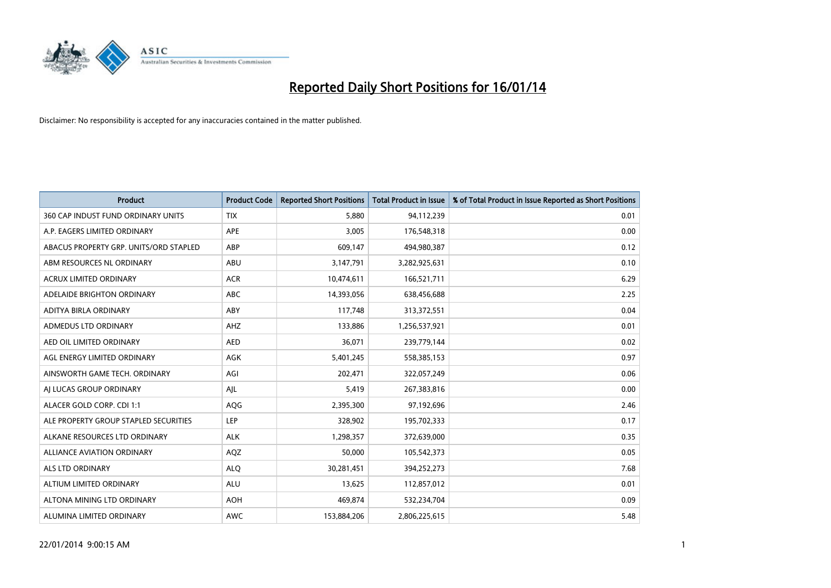

| <b>Product</b>                         | <b>Product Code</b> | <b>Reported Short Positions</b> | <b>Total Product in Issue</b> | % of Total Product in Issue Reported as Short Positions |
|----------------------------------------|---------------------|---------------------------------|-------------------------------|---------------------------------------------------------|
| 360 CAP INDUST FUND ORDINARY UNITS     | <b>TIX</b>          | 5,880                           | 94,112,239                    | 0.01                                                    |
| A.P. EAGERS LIMITED ORDINARY           | APE                 | 3,005                           | 176,548,318                   | 0.00                                                    |
| ABACUS PROPERTY GRP. UNITS/ORD STAPLED | ABP                 | 609,147                         | 494,980,387                   | 0.12                                                    |
| ABM RESOURCES NL ORDINARY              | ABU                 | 3,147,791                       | 3,282,925,631                 | 0.10                                                    |
| <b>ACRUX LIMITED ORDINARY</b>          | <b>ACR</b>          | 10,474,611                      | 166,521,711                   | 6.29                                                    |
| ADELAIDE BRIGHTON ORDINARY             | <b>ABC</b>          | 14,393,056                      | 638,456,688                   | 2.25                                                    |
| ADITYA BIRLA ORDINARY                  | ABY                 | 117,748                         | 313,372,551                   | 0.04                                                    |
| ADMEDUS LTD ORDINARY                   | AHZ                 | 133,886                         | 1,256,537,921                 | 0.01                                                    |
| AED OIL LIMITED ORDINARY               | <b>AED</b>          | 36,071                          | 239,779,144                   | 0.02                                                    |
| AGL ENERGY LIMITED ORDINARY            | <b>AGK</b>          | 5,401,245                       | 558,385,153                   | 0.97                                                    |
| AINSWORTH GAME TECH. ORDINARY          | AGI                 | 202,471                         | 322,057,249                   | 0.06                                                    |
| AI LUCAS GROUP ORDINARY                | AJL                 | 5,419                           | 267,383,816                   | 0.00                                                    |
| ALACER GOLD CORP. CDI 1:1              | AQG                 | 2,395,300                       | 97,192,696                    | 2.46                                                    |
| ALE PROPERTY GROUP STAPLED SECURITIES  | LEP                 | 328,902                         | 195,702,333                   | 0.17                                                    |
| ALKANE RESOURCES LTD ORDINARY          | <b>ALK</b>          | 1,298,357                       | 372,639,000                   | 0.35                                                    |
| ALLIANCE AVIATION ORDINARY             | AQZ                 | 50,000                          | 105,542,373                   | 0.05                                                    |
| ALS LTD ORDINARY                       | <b>ALQ</b>          | 30,281,451                      | 394,252,273                   | 7.68                                                    |
| ALTIUM LIMITED ORDINARY                | ALU                 | 13,625                          | 112,857,012                   | 0.01                                                    |
| ALTONA MINING LTD ORDINARY             | <b>AOH</b>          | 469,874                         | 532,234,704                   | 0.09                                                    |
| ALUMINA LIMITED ORDINARY               | <b>AWC</b>          | 153,884,206                     | 2,806,225,615                 | 5.48                                                    |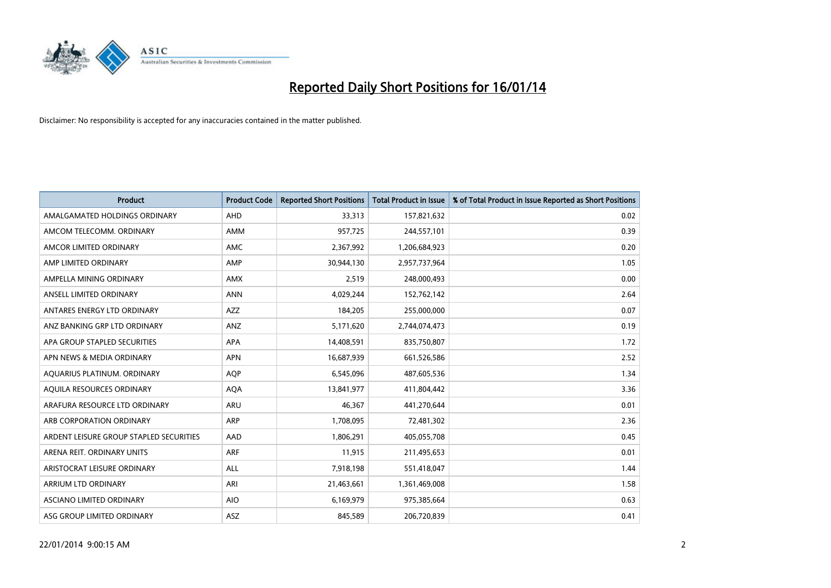

| <b>Product</b>                          | <b>Product Code</b> | <b>Reported Short Positions</b> | <b>Total Product in Issue</b> | % of Total Product in Issue Reported as Short Positions |
|-----------------------------------------|---------------------|---------------------------------|-------------------------------|---------------------------------------------------------|
| AMALGAMATED HOLDINGS ORDINARY           | AHD                 | 33,313                          | 157,821,632                   | 0.02                                                    |
| AMCOM TELECOMM. ORDINARY                | AMM                 | 957,725                         | 244,557,101                   | 0.39                                                    |
| AMCOR LIMITED ORDINARY                  | AMC                 | 2,367,992                       | 1,206,684,923                 | 0.20                                                    |
| AMP LIMITED ORDINARY                    | AMP                 | 30,944,130                      | 2,957,737,964                 | 1.05                                                    |
| AMPELLA MINING ORDINARY                 | <b>AMX</b>          | 2,519                           | 248,000,493                   | 0.00                                                    |
| ANSELL LIMITED ORDINARY                 | <b>ANN</b>          | 4,029,244                       | 152,762,142                   | 2.64                                                    |
| ANTARES ENERGY LTD ORDINARY             | AZZ                 | 184,205                         | 255,000,000                   | 0.07                                                    |
| ANZ BANKING GRP LTD ORDINARY            | ANZ                 | 5,171,620                       | 2,744,074,473                 | 0.19                                                    |
| APA GROUP STAPLED SECURITIES            | <b>APA</b>          | 14,408,591                      | 835,750,807                   | 1.72                                                    |
| APN NEWS & MEDIA ORDINARY               | <b>APN</b>          | 16,687,939                      | 661,526,586                   | 2.52                                                    |
| AQUARIUS PLATINUM. ORDINARY             | <b>AOP</b>          | 6,545,096                       | 487,605,536                   | 1.34                                                    |
| AQUILA RESOURCES ORDINARY               | <b>AQA</b>          | 13,841,977                      | 411,804,442                   | 3.36                                                    |
| ARAFURA RESOURCE LTD ORDINARY           | ARU                 | 46,367                          | 441,270,644                   | 0.01                                                    |
| ARB CORPORATION ORDINARY                | ARP                 | 1,708,095                       | 72,481,302                    | 2.36                                                    |
| ARDENT LEISURE GROUP STAPLED SECURITIES | AAD                 | 1,806,291                       | 405,055,708                   | 0.45                                                    |
| ARENA REIT. ORDINARY UNITS              | <b>ARF</b>          | 11,915                          | 211,495,653                   | 0.01                                                    |
| ARISTOCRAT LEISURE ORDINARY             | ALL                 | 7,918,198                       | 551,418,047                   | 1.44                                                    |
| ARRIUM LTD ORDINARY                     | ARI                 | 21,463,661                      | 1,361,469,008                 | 1.58                                                    |
| ASCIANO LIMITED ORDINARY                | <b>AIO</b>          | 6,169,979                       | 975,385,664                   | 0.63                                                    |
| ASG GROUP LIMITED ORDINARY              | ASZ                 | 845,589                         | 206,720,839                   | 0.41                                                    |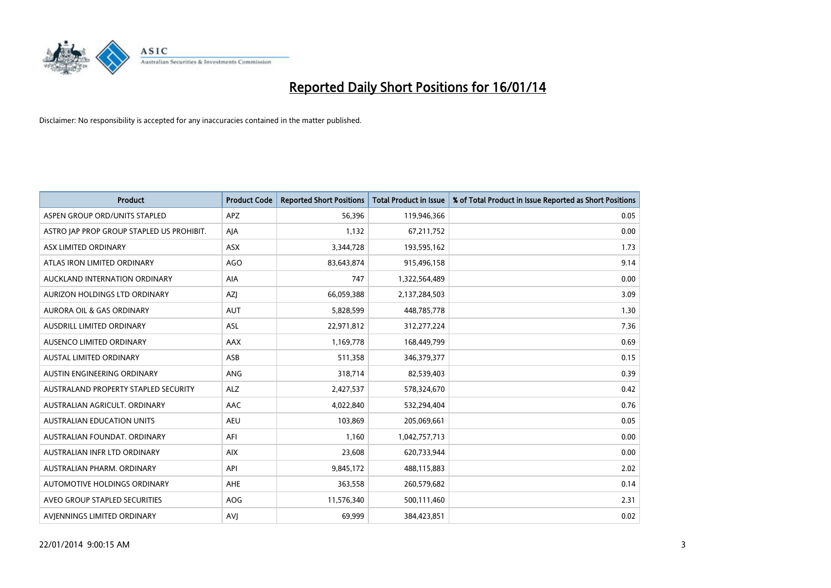

| <b>Product</b>                            | <b>Product Code</b> | <b>Reported Short Positions</b> | <b>Total Product in Issue</b> | % of Total Product in Issue Reported as Short Positions |
|-------------------------------------------|---------------------|---------------------------------|-------------------------------|---------------------------------------------------------|
| ASPEN GROUP ORD/UNITS STAPLED             | APZ                 | 56,396                          | 119,946,366                   | 0.05                                                    |
| ASTRO JAP PROP GROUP STAPLED US PROHIBIT. | AJA                 | 1,132                           | 67,211,752                    | 0.00                                                    |
| ASX LIMITED ORDINARY                      | ASX                 | 3,344,728                       | 193,595,162                   | 1.73                                                    |
| ATLAS IRON LIMITED ORDINARY               | <b>AGO</b>          | 83,643,874                      | 915,496,158                   | 9.14                                                    |
| AUCKLAND INTERNATION ORDINARY             | AIA                 | 747                             | 1,322,564,489                 | 0.00                                                    |
| AURIZON HOLDINGS LTD ORDINARY             | AZJ                 | 66,059,388                      | 2,137,284,503                 | 3.09                                                    |
| AURORA OIL & GAS ORDINARY                 | <b>AUT</b>          | 5,828,599                       | 448,785,778                   | 1.30                                                    |
| AUSDRILL LIMITED ORDINARY                 | ASL                 | 22,971,812                      | 312,277,224                   | 7.36                                                    |
| AUSENCO LIMITED ORDINARY                  | AAX                 | 1,169,778                       | 168,449,799                   | 0.69                                                    |
| <b>AUSTAL LIMITED ORDINARY</b>            | ASB                 | 511,358                         | 346,379,377                   | 0.15                                                    |
| AUSTIN ENGINEERING ORDINARY               | ANG                 | 318,714                         | 82,539,403                    | 0.39                                                    |
| AUSTRALAND PROPERTY STAPLED SECURITY      | <b>ALZ</b>          | 2,427,537                       | 578,324,670                   | 0.42                                                    |
| AUSTRALIAN AGRICULT. ORDINARY             | AAC                 | 4,022,840                       | 532,294,404                   | 0.76                                                    |
| AUSTRALIAN EDUCATION UNITS                | <b>AEU</b>          | 103,869                         | 205,069,661                   | 0.05                                                    |
| AUSTRALIAN FOUNDAT, ORDINARY              | AFI                 | 1,160                           | 1,042,757,713                 | 0.00                                                    |
| AUSTRALIAN INFR LTD ORDINARY              | <b>AIX</b>          | 23,608                          | 620,733,944                   | 0.00                                                    |
| AUSTRALIAN PHARM, ORDINARY                | API                 | 9,845,172                       | 488,115,883                   | 2.02                                                    |
| AUTOMOTIVE HOLDINGS ORDINARY              | AHE                 | 363,558                         | 260,579,682                   | 0.14                                                    |
| AVEO GROUP STAPLED SECURITIES             | AOG                 | 11,576,340                      | 500,111,460                   | 2.31                                                    |
| AVIENNINGS LIMITED ORDINARY               | <b>AVJ</b>          | 69,999                          | 384,423,851                   | 0.02                                                    |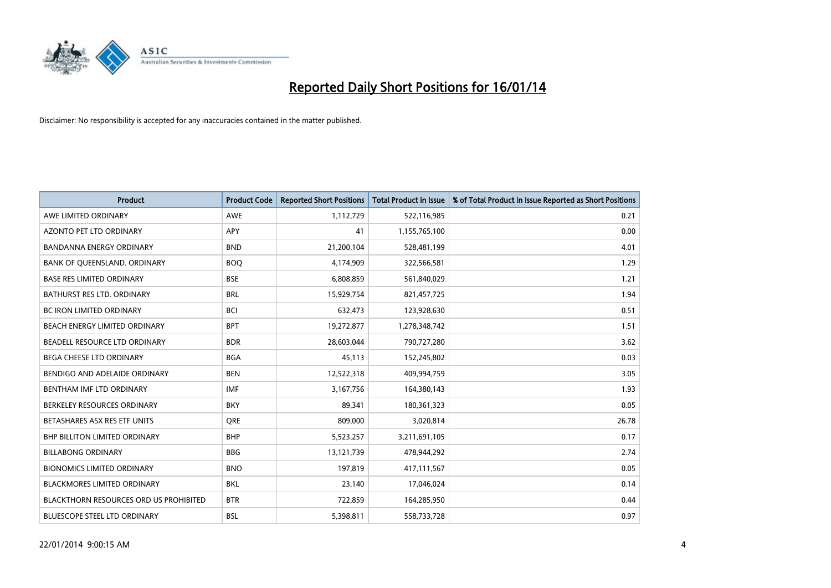

| <b>Product</b>                                | <b>Product Code</b> | <b>Reported Short Positions</b> | <b>Total Product in Issue</b> | % of Total Product in Issue Reported as Short Positions |
|-----------------------------------------------|---------------------|---------------------------------|-------------------------------|---------------------------------------------------------|
| AWE LIMITED ORDINARY                          | AWE                 | 1,112,729                       | 522,116,985                   | 0.21                                                    |
| <b>AZONTO PET LTD ORDINARY</b>                | APY                 | 41                              | 1,155,765,100                 | 0.00                                                    |
| <b>BANDANNA ENERGY ORDINARY</b>               | <b>BND</b>          | 21,200,104                      | 528,481,199                   | 4.01                                                    |
| BANK OF QUEENSLAND. ORDINARY                  | <b>BOO</b>          | 4,174,909                       | 322,566,581                   | 1.29                                                    |
| <b>BASE RES LIMITED ORDINARY</b>              | <b>BSE</b>          | 6,808,859                       | 561,840,029                   | 1.21                                                    |
| <b>BATHURST RES LTD. ORDINARY</b>             | <b>BRL</b>          | 15,929,754                      | 821,457,725                   | 1.94                                                    |
| <b>BC IRON LIMITED ORDINARY</b>               | <b>BCI</b>          | 632,473                         | 123,928,630                   | 0.51                                                    |
| BEACH ENERGY LIMITED ORDINARY                 | <b>BPT</b>          | 19,272,877                      | 1,278,348,742                 | 1.51                                                    |
| BEADELL RESOURCE LTD ORDINARY                 | <b>BDR</b>          | 28,603,044                      | 790,727,280                   | 3.62                                                    |
| <b>BEGA CHEESE LTD ORDINARY</b>               | <b>BGA</b>          | 45,113                          | 152,245,802                   | 0.03                                                    |
| BENDIGO AND ADELAIDE ORDINARY                 | <b>BEN</b>          | 12,522,318                      | 409,994,759                   | 3.05                                                    |
| BENTHAM IMF LTD ORDINARY                      | <b>IMF</b>          | 3,167,756                       | 164,380,143                   | 1.93                                                    |
| BERKELEY RESOURCES ORDINARY                   | <b>BKY</b>          | 89,341                          | 180,361,323                   | 0.05                                                    |
| BETASHARES ASX RES ETF UNITS                  | <b>ORE</b>          | 809,000                         | 3,020,814                     | 26.78                                                   |
| <b>BHP BILLITON LIMITED ORDINARY</b>          | <b>BHP</b>          | 5,523,257                       | 3,211,691,105                 | 0.17                                                    |
| <b>BILLABONG ORDINARY</b>                     | <b>BBG</b>          | 13,121,739                      | 478,944,292                   | 2.74                                                    |
| <b>BIONOMICS LIMITED ORDINARY</b>             | <b>BNO</b>          | 197,819                         | 417,111,567                   | 0.05                                                    |
| <b>BLACKMORES LIMITED ORDINARY</b>            | <b>BKL</b>          | 23,140                          | 17,046,024                    | 0.14                                                    |
| <b>BLACKTHORN RESOURCES ORD US PROHIBITED</b> | <b>BTR</b>          | 722,859                         | 164,285,950                   | 0.44                                                    |
| BLUESCOPE STEEL LTD ORDINARY                  | BSL                 | 5,398,811                       | 558,733,728                   | 0.97                                                    |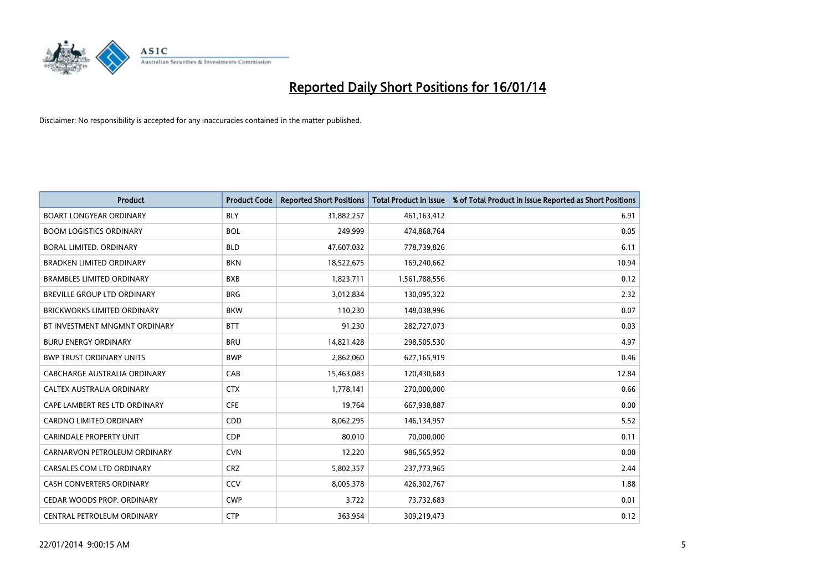

| <b>Product</b>                     | <b>Product Code</b> | <b>Reported Short Positions</b> | <b>Total Product in Issue</b> | % of Total Product in Issue Reported as Short Positions |
|------------------------------------|---------------------|---------------------------------|-------------------------------|---------------------------------------------------------|
| <b>BOART LONGYEAR ORDINARY</b>     | <b>BLY</b>          | 31,882,257                      | 461,163,412                   | 6.91                                                    |
| <b>BOOM LOGISTICS ORDINARY</b>     | <b>BOL</b>          | 249,999                         | 474,868,764                   | 0.05                                                    |
| BORAL LIMITED, ORDINARY            | <b>BLD</b>          | 47,607,032                      | 778,739,826                   | 6.11                                                    |
| <b>BRADKEN LIMITED ORDINARY</b>    | <b>BKN</b>          | 18,522,675                      | 169,240,662                   | 10.94                                                   |
| <b>BRAMBLES LIMITED ORDINARY</b>   | <b>BXB</b>          | 1,823,711                       | 1,561,788,556                 | 0.12                                                    |
| BREVILLE GROUP LTD ORDINARY        | <b>BRG</b>          | 3,012,834                       | 130,095,322                   | 2.32                                                    |
| <b>BRICKWORKS LIMITED ORDINARY</b> | <b>BKW</b>          | 110,230                         | 148,038,996                   | 0.07                                                    |
| BT INVESTMENT MNGMNT ORDINARY      | <b>BTT</b>          | 91,230                          | 282,727,073                   | 0.03                                                    |
| <b>BURU ENERGY ORDINARY</b>        | <b>BRU</b>          | 14,821,428                      | 298,505,530                   | 4.97                                                    |
| <b>BWP TRUST ORDINARY UNITS</b>    | <b>BWP</b>          | 2,862,060                       | 627,165,919                   | 0.46                                                    |
| CABCHARGE AUSTRALIA ORDINARY       | CAB                 | 15,463,083                      | 120,430,683                   | 12.84                                                   |
| CALTEX AUSTRALIA ORDINARY          | <b>CTX</b>          | 1,778,141                       | 270,000,000                   | 0.66                                                    |
| CAPE LAMBERT RES LTD ORDINARY      | <b>CFE</b>          | 19,764                          | 667,938,887                   | 0.00                                                    |
| <b>CARDNO LIMITED ORDINARY</b>     | CDD                 | 8,062,295                       | 146,134,957                   | 5.52                                                    |
| CARINDALE PROPERTY UNIT            | <b>CDP</b>          | 80,010                          | 70,000,000                    | 0.11                                                    |
| CARNARVON PETROLEUM ORDINARY       | <b>CVN</b>          | 12,220                          | 986,565,952                   | 0.00                                                    |
| CARSALES.COM LTD ORDINARY          | <b>CRZ</b>          | 5,802,357                       | 237,773,965                   | 2.44                                                    |
| CASH CONVERTERS ORDINARY           | CCV                 | 8,005,378                       | 426,302,767                   | 1.88                                                    |
| CEDAR WOODS PROP. ORDINARY         | <b>CWP</b>          | 3,722                           | 73,732,683                    | 0.01                                                    |
| CENTRAL PETROLEUM ORDINARY         | <b>CTP</b>          | 363,954                         | 309,219,473                   | 0.12                                                    |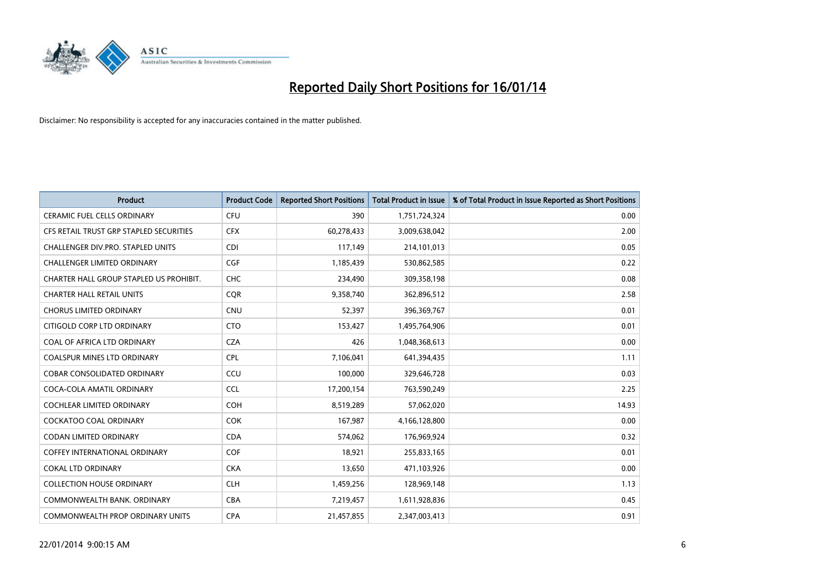

| <b>Product</b>                          | <b>Product Code</b> | <b>Reported Short Positions</b> | <b>Total Product in Issue</b> | % of Total Product in Issue Reported as Short Positions |
|-----------------------------------------|---------------------|---------------------------------|-------------------------------|---------------------------------------------------------|
| <b>CERAMIC FUEL CELLS ORDINARY</b>      | <b>CFU</b>          | 390                             | 1,751,724,324                 | 0.00                                                    |
| CFS RETAIL TRUST GRP STAPLED SECURITIES | <b>CFX</b>          | 60,278,433                      | 3,009,638,042                 | 2.00                                                    |
| CHALLENGER DIV.PRO. STAPLED UNITS       | <b>CDI</b>          | 117,149                         | 214,101,013                   | 0.05                                                    |
| <b>CHALLENGER LIMITED ORDINARY</b>      | <b>CGF</b>          | 1,185,439                       | 530,862,585                   | 0.22                                                    |
| CHARTER HALL GROUP STAPLED US PROHIBIT. | <b>CHC</b>          | 234,490                         | 309,358,198                   | 0.08                                                    |
| <b>CHARTER HALL RETAIL UNITS</b>        | CQR                 | 9,358,740                       | 362,896,512                   | 2.58                                                    |
| <b>CHORUS LIMITED ORDINARY</b>          | CNU                 | 52,397                          | 396,369,767                   | 0.01                                                    |
| CITIGOLD CORP LTD ORDINARY              | <b>CTO</b>          | 153,427                         | 1,495,764,906                 | 0.01                                                    |
| COAL OF AFRICA LTD ORDINARY             | <b>CZA</b>          | 426                             | 1,048,368,613                 | 0.00                                                    |
| <b>COALSPUR MINES LTD ORDINARY</b>      | <b>CPL</b>          | 7,106,041                       | 641,394,435                   | 1.11                                                    |
| <b>COBAR CONSOLIDATED ORDINARY</b>      | CCU                 | 100,000                         | 329,646,728                   | 0.03                                                    |
| COCA-COLA AMATIL ORDINARY               | <b>CCL</b>          | 17,200,154                      | 763,590,249                   | 2.25                                                    |
| <b>COCHLEAR LIMITED ORDINARY</b>        | <b>COH</b>          | 8,519,289                       | 57,062,020                    | 14.93                                                   |
| <b>COCKATOO COAL ORDINARY</b>           | <b>COK</b>          | 167,987                         | 4,166,128,800                 | 0.00                                                    |
| <b>CODAN LIMITED ORDINARY</b>           | <b>CDA</b>          | 574,062                         | 176,969,924                   | 0.32                                                    |
| <b>COFFEY INTERNATIONAL ORDINARY</b>    | <b>COF</b>          | 18.921                          | 255,833,165                   | 0.01                                                    |
| <b>COKAL LTD ORDINARY</b>               | <b>CKA</b>          | 13,650                          | 471,103,926                   | 0.00                                                    |
| <b>COLLECTION HOUSE ORDINARY</b>        | <b>CLH</b>          | 1,459,256                       | 128,969,148                   | 1.13                                                    |
| COMMONWEALTH BANK, ORDINARY             | <b>CBA</b>          | 7,219,457                       | 1,611,928,836                 | 0.45                                                    |
| COMMONWEALTH PROP ORDINARY UNITS        | <b>CPA</b>          | 21,457,855                      | 2,347,003,413                 | 0.91                                                    |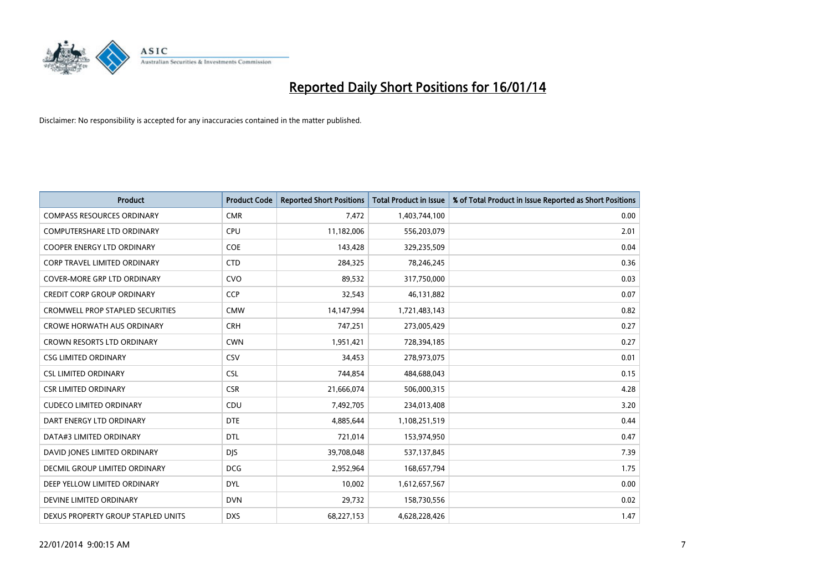

| <b>Product</b>                          | <b>Product Code</b> | <b>Reported Short Positions</b> | <b>Total Product in Issue</b> | % of Total Product in Issue Reported as Short Positions |
|-----------------------------------------|---------------------|---------------------------------|-------------------------------|---------------------------------------------------------|
| <b>COMPASS RESOURCES ORDINARY</b>       | <b>CMR</b>          | 7,472                           | 1,403,744,100                 | 0.00                                                    |
| COMPUTERSHARE LTD ORDINARY              | <b>CPU</b>          | 11,182,006                      | 556,203,079                   | 2.01                                                    |
| <b>COOPER ENERGY LTD ORDINARY</b>       | <b>COE</b>          | 143,428                         | 329,235,509                   | 0.04                                                    |
| CORP TRAVEL LIMITED ORDINARY            | <b>CTD</b>          | 284,325                         | 78,246,245                    | 0.36                                                    |
| <b>COVER-MORE GRP LTD ORDINARY</b>      | <b>CVO</b>          | 89,532                          | 317,750,000                   | 0.03                                                    |
| <b>CREDIT CORP GROUP ORDINARY</b>       | CCP                 | 32,543                          | 46,131,882                    | 0.07                                                    |
| <b>CROMWELL PROP STAPLED SECURITIES</b> | <b>CMW</b>          | 14,147,994                      | 1,721,483,143                 | 0.82                                                    |
| <b>CROWE HORWATH AUS ORDINARY</b>       | <b>CRH</b>          | 747,251                         | 273,005,429                   | 0.27                                                    |
| <b>CROWN RESORTS LTD ORDINARY</b>       | <b>CWN</b>          | 1,951,421                       | 728,394,185                   | 0.27                                                    |
| <b>CSG LIMITED ORDINARY</b>             | <b>CSV</b>          | 34,453                          | 278,973,075                   | 0.01                                                    |
| <b>CSL LIMITED ORDINARY</b>             | <b>CSL</b>          | 744,854                         | 484,688,043                   | 0.15                                                    |
| <b>CSR LIMITED ORDINARY</b>             | <b>CSR</b>          | 21,666,074                      | 506,000,315                   | 4.28                                                    |
| <b>CUDECO LIMITED ORDINARY</b>          | CDU                 | 7,492,705                       | 234,013,408                   | 3.20                                                    |
| DART ENERGY LTD ORDINARY                | <b>DTE</b>          | 4,885,644                       | 1,108,251,519                 | 0.44                                                    |
| DATA#3 LIMITED ORDINARY                 | <b>DTL</b>          | 721,014                         | 153,974,950                   | 0.47                                                    |
| DAVID JONES LIMITED ORDINARY            | <b>DIS</b>          | 39,708,048                      | 537,137,845                   | 7.39                                                    |
| DECMIL GROUP LIMITED ORDINARY           | <b>DCG</b>          | 2,952,964                       | 168,657,794                   | 1.75                                                    |
| DEEP YELLOW LIMITED ORDINARY            | <b>DYL</b>          | 10,002                          | 1,612,657,567                 | 0.00                                                    |
| DEVINE LIMITED ORDINARY                 | <b>DVN</b>          | 29,732                          | 158,730,556                   | 0.02                                                    |
| DEXUS PROPERTY GROUP STAPLED UNITS      | <b>DXS</b>          | 68,227,153                      | 4,628,228,426                 | 1.47                                                    |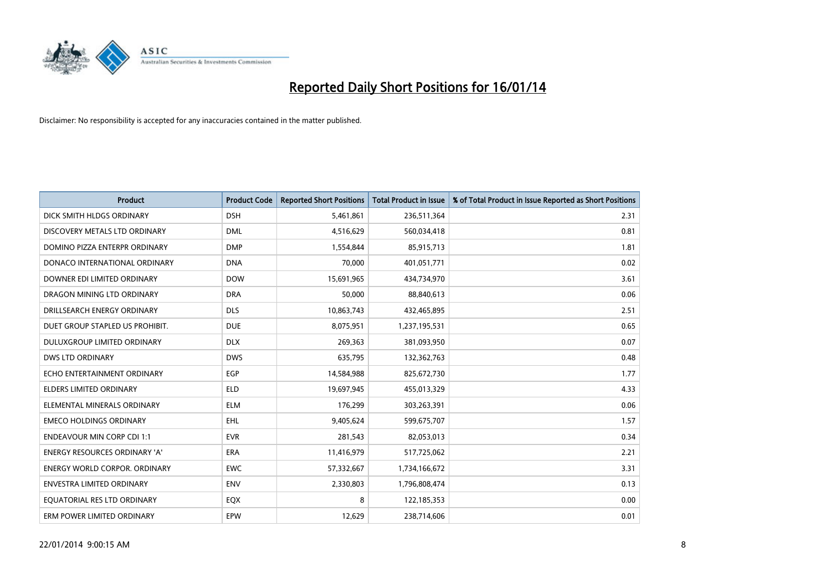

| <b>Product</b>                    | <b>Product Code</b> | <b>Reported Short Positions</b> | <b>Total Product in Issue</b> | % of Total Product in Issue Reported as Short Positions |
|-----------------------------------|---------------------|---------------------------------|-------------------------------|---------------------------------------------------------|
| DICK SMITH HLDGS ORDINARY         | <b>DSH</b>          | 5,461,861                       | 236,511,364                   | 2.31                                                    |
| DISCOVERY METALS LTD ORDINARY     | <b>DML</b>          | 4,516,629                       | 560,034,418                   | 0.81                                                    |
| DOMINO PIZZA ENTERPR ORDINARY     | <b>DMP</b>          | 1,554,844                       | 85,915,713                    | 1.81                                                    |
| DONACO INTERNATIONAL ORDINARY     | <b>DNA</b>          | 70,000                          | 401,051,771                   | 0.02                                                    |
| DOWNER EDI LIMITED ORDINARY       | <b>DOW</b>          | 15,691,965                      | 434,734,970                   | 3.61                                                    |
| DRAGON MINING LTD ORDINARY        | <b>DRA</b>          | 50,000                          | 88,840,613                    | 0.06                                                    |
| DRILLSEARCH ENERGY ORDINARY       | <b>DLS</b>          | 10,863,743                      | 432,465,895                   | 2.51                                                    |
| DUET GROUP STAPLED US PROHIBIT.   | <b>DUE</b>          | 8,075,951                       | 1,237,195,531                 | 0.65                                                    |
| DULUXGROUP LIMITED ORDINARY       | <b>DLX</b>          | 269,363                         | 381,093,950                   | 0.07                                                    |
| <b>DWS LTD ORDINARY</b>           | <b>DWS</b>          | 635,795                         | 132,362,763                   | 0.48                                                    |
| ECHO ENTERTAINMENT ORDINARY       | <b>EGP</b>          | 14,584,988                      | 825,672,730                   | 1.77                                                    |
| ELDERS LIMITED ORDINARY           | <b>ELD</b>          | 19,697,945                      | 455,013,329                   | 4.33                                                    |
| ELEMENTAL MINERALS ORDINARY       | <b>ELM</b>          | 176,299                         | 303,263,391                   | 0.06                                                    |
| <b>EMECO HOLDINGS ORDINARY</b>    | <b>EHL</b>          | 9,405,624                       | 599,675,707                   | 1.57                                                    |
| <b>ENDEAVOUR MIN CORP CDI 1:1</b> | <b>EVR</b>          | 281,543                         | 82,053,013                    | 0.34                                                    |
| ENERGY RESOURCES ORDINARY 'A'     | ERA                 | 11,416,979                      | 517,725,062                   | 2.21                                                    |
| ENERGY WORLD CORPOR. ORDINARY     | <b>EWC</b>          | 57,332,667                      | 1,734,166,672                 | 3.31                                                    |
| <b>ENVESTRA LIMITED ORDINARY</b>  | <b>ENV</b>          | 2,330,803                       | 1,796,808,474                 | 0.13                                                    |
| EQUATORIAL RES LTD ORDINARY       | EQX                 | 8                               | 122,185,353                   | 0.00                                                    |
| ERM POWER LIMITED ORDINARY        | <b>EPW</b>          | 12,629                          | 238,714,606                   | 0.01                                                    |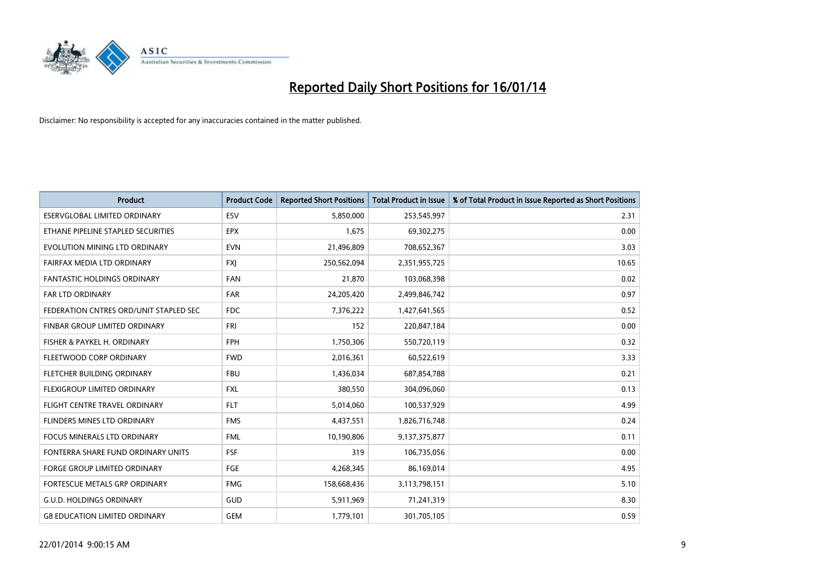

| <b>Product</b>                         | <b>Product Code</b> | <b>Reported Short Positions</b> | <b>Total Product in Issue</b> | % of Total Product in Issue Reported as Short Positions |
|----------------------------------------|---------------------|---------------------------------|-------------------------------|---------------------------------------------------------|
| <b>ESERVGLOBAL LIMITED ORDINARY</b>    | ESV                 | 5,850,000                       | 253,545,997                   | 2.31                                                    |
| ETHANE PIPELINE STAPLED SECURITIES     | <b>EPX</b>          | 1,675                           | 69,302,275                    | 0.00                                                    |
| EVOLUTION MINING LTD ORDINARY          | <b>EVN</b>          | 21,496,809                      | 708,652,367                   | 3.03                                                    |
| FAIRFAX MEDIA LTD ORDINARY             | <b>FXJ</b>          | 250,562,094                     | 2,351,955,725                 | 10.65                                                   |
| <b>FANTASTIC HOLDINGS ORDINARY</b>     | <b>FAN</b>          | 21,870                          | 103,068,398                   | 0.02                                                    |
| <b>FAR LTD ORDINARY</b>                | <b>FAR</b>          | 24,205,420                      | 2,499,846,742                 | 0.97                                                    |
| FEDERATION CNTRES ORD/UNIT STAPLED SEC | FDC                 | 7,376,222                       | 1,427,641,565                 | 0.52                                                    |
| FINBAR GROUP LIMITED ORDINARY          | <b>FRI</b>          | 152                             | 220,847,184                   | 0.00                                                    |
| FISHER & PAYKEL H. ORDINARY            | <b>FPH</b>          | 1,750,306                       | 550,720,119                   | 0.32                                                    |
| FLEETWOOD CORP ORDINARY                | <b>FWD</b>          | 2,016,361                       | 60,522,619                    | 3.33                                                    |
| FLETCHER BUILDING ORDINARY             | <b>FBU</b>          | 1,436,034                       | 687,854,788                   | 0.21                                                    |
| FLEXIGROUP LIMITED ORDINARY            | <b>FXL</b>          | 380,550                         | 304,096,060                   | 0.13                                                    |
| FLIGHT CENTRE TRAVEL ORDINARY          | <b>FLT</b>          | 5,014,060                       | 100,537,929                   | 4.99                                                    |
| FLINDERS MINES LTD ORDINARY            | <b>FMS</b>          | 4,437,551                       | 1,826,716,748                 | 0.24                                                    |
| <b>FOCUS MINERALS LTD ORDINARY</b>     | <b>FML</b>          | 10,190,806                      | 9,137,375,877                 | 0.11                                                    |
| FONTERRA SHARE FUND ORDINARY UNITS     | <b>FSF</b>          | 319                             | 106,735,056                   | 0.00                                                    |
| FORGE GROUP LIMITED ORDINARY           | FGE                 | 4,268,345                       | 86,169,014                    | 4.95                                                    |
| FORTESCUE METALS GRP ORDINARY          | <b>FMG</b>          | 158,668,436                     | 3,113,798,151                 | 5.10                                                    |
| <b>G.U.D. HOLDINGS ORDINARY</b>        | <b>GUD</b>          | 5,911,969                       | 71,241,319                    | 8.30                                                    |
| <b>G8 EDUCATION LIMITED ORDINARY</b>   | <b>GEM</b>          | 1,779,101                       | 301,705,105                   | 0.59                                                    |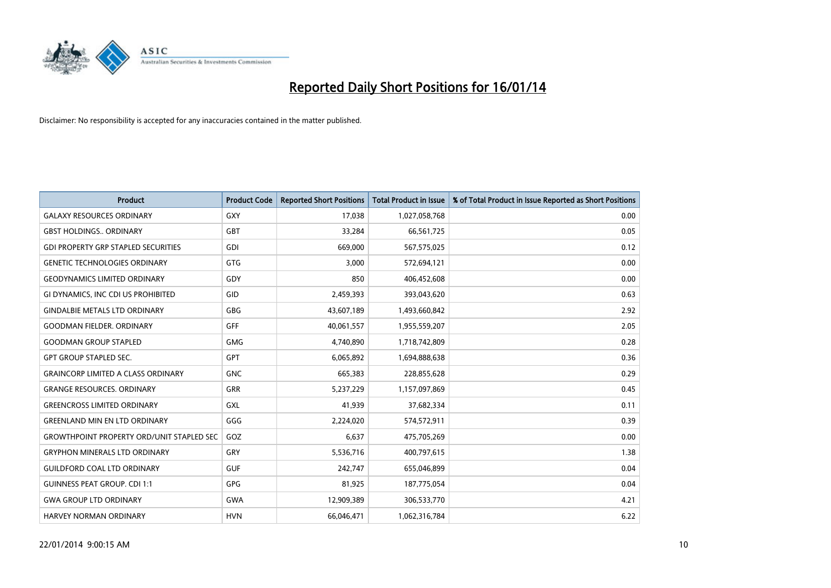

| <b>Product</b>                                   | <b>Product Code</b> | <b>Reported Short Positions</b> | <b>Total Product in Issue</b> | % of Total Product in Issue Reported as Short Positions |
|--------------------------------------------------|---------------------|---------------------------------|-------------------------------|---------------------------------------------------------|
| <b>GALAXY RESOURCES ORDINARY</b>                 | <b>GXY</b>          | 17,038                          | 1,027,058,768                 | 0.00                                                    |
| <b>GBST HOLDINGS ORDINARY</b>                    | <b>GBT</b>          | 33,284                          | 66,561,725                    | 0.05                                                    |
| <b>GDI PROPERTY GRP STAPLED SECURITIES</b>       | <b>GDI</b>          | 669,000                         | 567,575,025                   | 0.12                                                    |
| <b>GENETIC TECHNOLOGIES ORDINARY</b>             | <b>GTG</b>          | 3,000                           | 572,694,121                   | 0.00                                                    |
| <b>GEODYNAMICS LIMITED ORDINARY</b>              | GDY                 | 850                             | 406,452,608                   | 0.00                                                    |
| GI DYNAMICS, INC CDI US PROHIBITED               | GID                 | 2,459,393                       | 393,043,620                   | 0.63                                                    |
| <b>GINDALBIE METALS LTD ORDINARY</b>             | <b>GBG</b>          | 43,607,189                      | 1,493,660,842                 | 2.92                                                    |
| <b>GOODMAN FIELDER, ORDINARY</b>                 | GFF                 | 40,061,557                      | 1,955,559,207                 | 2.05                                                    |
| <b>GOODMAN GROUP STAPLED</b>                     | <b>GMG</b>          | 4,740,890                       | 1,718,742,809                 | 0.28                                                    |
| <b>GPT GROUP STAPLED SEC.</b>                    | GPT                 | 6,065,892                       | 1,694,888,638                 | 0.36                                                    |
| <b>GRAINCORP LIMITED A CLASS ORDINARY</b>        | <b>GNC</b>          | 665,383                         | 228,855,628                   | 0.29                                                    |
| <b>GRANGE RESOURCES, ORDINARY</b>                | <b>GRR</b>          | 5,237,229                       | 1,157,097,869                 | 0.45                                                    |
| <b>GREENCROSS LIMITED ORDINARY</b>               | GXL                 | 41,939                          | 37,682,334                    | 0.11                                                    |
| <b>GREENLAND MIN EN LTD ORDINARY</b>             | GGG                 | 2,224,020                       | 574,572,911                   | 0.39                                                    |
| <b>GROWTHPOINT PROPERTY ORD/UNIT STAPLED SEC</b> | GOZ                 | 6,637                           | 475,705,269                   | 0.00                                                    |
| <b>GRYPHON MINERALS LTD ORDINARY</b>             | GRY                 | 5,536,716                       | 400,797,615                   | 1.38                                                    |
| <b>GUILDFORD COAL LTD ORDINARY</b>               | <b>GUF</b>          | 242,747                         | 655,046,899                   | 0.04                                                    |
| <b>GUINNESS PEAT GROUP. CDI 1:1</b>              | <b>GPG</b>          | 81,925                          | 187,775,054                   | 0.04                                                    |
| <b>GWA GROUP LTD ORDINARY</b>                    | <b>GWA</b>          | 12,909,389                      | 306,533,770                   | 4.21                                                    |
| <b>HARVEY NORMAN ORDINARY</b>                    | <b>HVN</b>          | 66,046,471                      | 1,062,316,784                 | 6.22                                                    |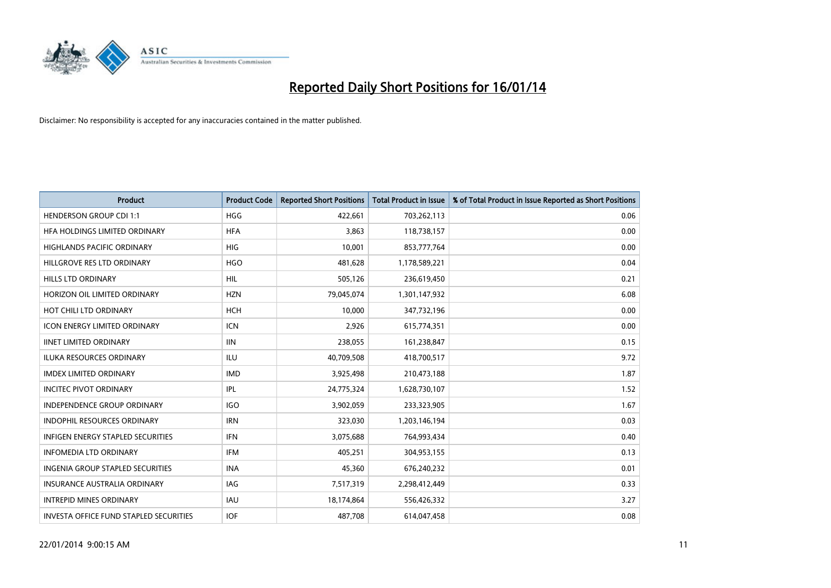

| <b>Product</b>                                | <b>Product Code</b> | <b>Reported Short Positions</b> | <b>Total Product in Issue</b> | % of Total Product in Issue Reported as Short Positions |
|-----------------------------------------------|---------------------|---------------------------------|-------------------------------|---------------------------------------------------------|
| <b>HENDERSON GROUP CDI 1:1</b>                | <b>HGG</b>          | 422,661                         | 703,262,113                   | 0.06                                                    |
| HFA HOLDINGS LIMITED ORDINARY                 | <b>HFA</b>          | 3,863                           | 118,738,157                   | 0.00                                                    |
| <b>HIGHLANDS PACIFIC ORDINARY</b>             | <b>HIG</b>          | 10,001                          | 853,777,764                   | 0.00                                                    |
| HILLGROVE RES LTD ORDINARY                    | <b>HGO</b>          | 481,628                         | 1,178,589,221                 | 0.04                                                    |
| <b>HILLS LTD ORDINARY</b>                     | <b>HIL</b>          | 505,126                         | 236,619,450                   | 0.21                                                    |
| HORIZON OIL LIMITED ORDINARY                  | <b>HZN</b>          | 79,045,074                      | 1,301,147,932                 | 6.08                                                    |
| HOT CHILI LTD ORDINARY                        | <b>HCH</b>          | 10,000                          | 347,732,196                   | 0.00                                                    |
| <b>ICON ENERGY LIMITED ORDINARY</b>           | <b>ICN</b>          | 2,926                           | 615,774,351                   | 0.00                                                    |
| <b>IINET LIMITED ORDINARY</b>                 | <b>IIN</b>          | 238,055                         | 161,238,847                   | 0.15                                                    |
| <b>ILUKA RESOURCES ORDINARY</b>               | <b>ILU</b>          | 40,709,508                      | 418,700,517                   | 9.72                                                    |
| <b>IMDEX LIMITED ORDINARY</b>                 | <b>IMD</b>          | 3,925,498                       | 210,473,188                   | 1.87                                                    |
| <b>INCITEC PIVOT ORDINARY</b>                 | IPL                 | 24,775,324                      | 1,628,730,107                 | 1.52                                                    |
| INDEPENDENCE GROUP ORDINARY                   | <b>IGO</b>          | 3,902,059                       | 233,323,905                   | 1.67                                                    |
| <b>INDOPHIL RESOURCES ORDINARY</b>            | <b>IRN</b>          | 323,030                         | 1,203,146,194                 | 0.03                                                    |
| <b>INFIGEN ENERGY STAPLED SECURITIES</b>      | <b>IFN</b>          | 3,075,688                       | 764,993,434                   | 0.40                                                    |
| <b>INFOMEDIA LTD ORDINARY</b>                 | <b>IFM</b>          | 405,251                         | 304,953,155                   | 0.13                                                    |
| <b>INGENIA GROUP STAPLED SECURITIES</b>       | <b>INA</b>          | 45,360                          | 676,240,232                   | 0.01                                                    |
| <b>INSURANCE AUSTRALIA ORDINARY</b>           | IAG                 | 7,517,319                       | 2,298,412,449                 | 0.33                                                    |
| <b>INTREPID MINES ORDINARY</b>                | <b>IAU</b>          | 18,174,864                      | 556,426,332                   | 3.27                                                    |
| <b>INVESTA OFFICE FUND STAPLED SECURITIES</b> | <b>IOF</b>          | 487,708                         | 614,047,458                   | 0.08                                                    |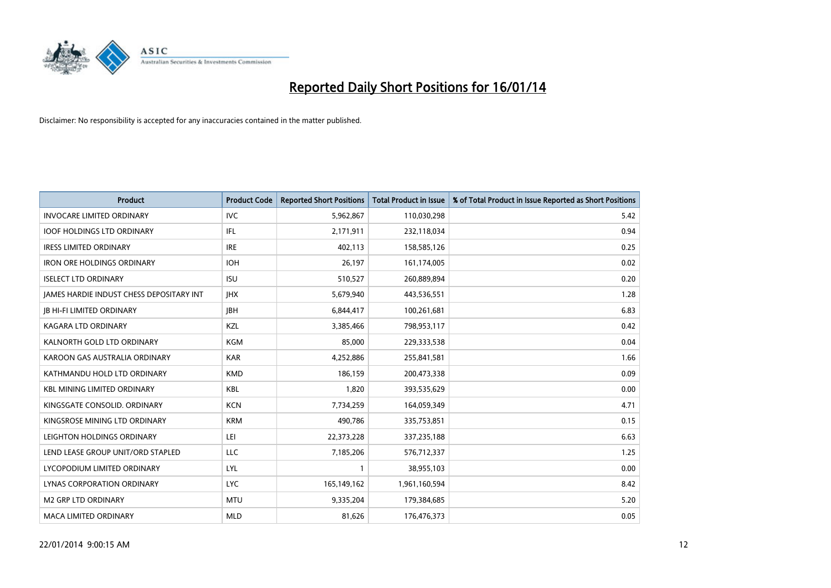

| <b>Product</b>                           | <b>Product Code</b> | <b>Reported Short Positions</b> | <b>Total Product in Issue</b> | % of Total Product in Issue Reported as Short Positions |
|------------------------------------------|---------------------|---------------------------------|-------------------------------|---------------------------------------------------------|
| <b>INVOCARE LIMITED ORDINARY</b>         | <b>IVC</b>          | 5,962,867                       | 110,030,298                   | 5.42                                                    |
| <b>IOOF HOLDINGS LTD ORDINARY</b>        | IFL                 | 2,171,911                       | 232,118,034                   | 0.94                                                    |
| <b>IRESS LIMITED ORDINARY</b>            | <b>IRE</b>          | 402,113                         | 158,585,126                   | 0.25                                                    |
| <b>IRON ORE HOLDINGS ORDINARY</b>        | <b>IOH</b>          | 26,197                          | 161,174,005                   | 0.02                                                    |
| <b>ISELECT LTD ORDINARY</b>              | <b>ISU</b>          | 510,527                         | 260,889,894                   | 0.20                                                    |
| JAMES HARDIE INDUST CHESS DEPOSITARY INT | <b>IHX</b>          | 5,679,940                       | 443,536,551                   | 1.28                                                    |
| <b>JB HI-FI LIMITED ORDINARY</b>         | <b>JBH</b>          | 6,844,417                       | 100,261,681                   | 6.83                                                    |
| <b>KAGARA LTD ORDINARY</b>               | KZL                 | 3,385,466                       | 798,953,117                   | 0.42                                                    |
| KALNORTH GOLD LTD ORDINARY               | <b>KGM</b>          | 85,000                          | 229,333,538                   | 0.04                                                    |
| KAROON GAS AUSTRALIA ORDINARY            | <b>KAR</b>          | 4,252,886                       | 255,841,581                   | 1.66                                                    |
| KATHMANDU HOLD LTD ORDINARY              | <b>KMD</b>          | 186,159                         | 200,473,338                   | 0.09                                                    |
| <b>KBL MINING LIMITED ORDINARY</b>       | <b>KBL</b>          | 1,820                           | 393,535,629                   | 0.00                                                    |
| KINGSGATE CONSOLID. ORDINARY             | <b>KCN</b>          | 7,734,259                       | 164,059,349                   | 4.71                                                    |
| KINGSROSE MINING LTD ORDINARY            | <b>KRM</b>          | 490,786                         | 335,753,851                   | 0.15                                                    |
| LEIGHTON HOLDINGS ORDINARY               | LEI                 | 22,373,228                      | 337,235,188                   | 6.63                                                    |
| LEND LEASE GROUP UNIT/ORD STAPLED        | LLC                 | 7,185,206                       | 576,712,337                   | 1.25                                                    |
| LYCOPODIUM LIMITED ORDINARY              | <b>LYL</b>          | 1                               | 38,955,103                    | 0.00                                                    |
| LYNAS CORPORATION ORDINARY               | <b>LYC</b>          | 165,149,162                     | 1,961,160,594                 | 8.42                                                    |
| M2 GRP LTD ORDINARY                      | <b>MTU</b>          | 9,335,204                       | 179,384,685                   | 5.20                                                    |
| <b>MACA LIMITED ORDINARY</b>             | <b>MLD</b>          | 81,626                          | 176,476,373                   | 0.05                                                    |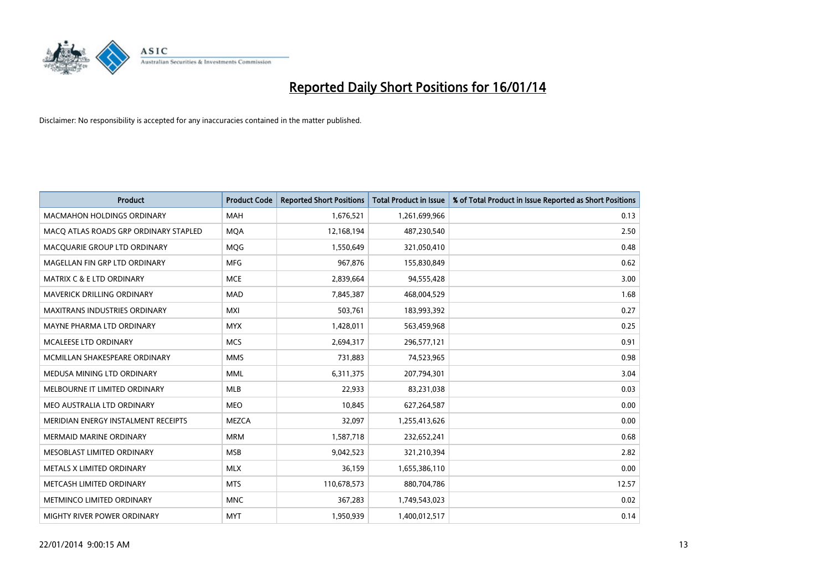

| <b>Product</b>                        | <b>Product Code</b> | <b>Reported Short Positions</b> | <b>Total Product in Issue</b> | % of Total Product in Issue Reported as Short Positions |
|---------------------------------------|---------------------|---------------------------------|-------------------------------|---------------------------------------------------------|
| <b>MACMAHON HOLDINGS ORDINARY</b>     | <b>MAH</b>          | 1,676,521                       | 1,261,699,966                 | 0.13                                                    |
| MACO ATLAS ROADS GRP ORDINARY STAPLED | <b>MOA</b>          | 12,168,194                      | 487,230,540                   | 2.50                                                    |
| MACQUARIE GROUP LTD ORDINARY          | <b>MOG</b>          | 1,550,649                       | 321,050,410                   | 0.48                                                    |
| MAGELLAN FIN GRP LTD ORDINARY         | <b>MFG</b>          | 967,876                         | 155,830,849                   | 0.62                                                    |
| <b>MATRIX C &amp; E LTD ORDINARY</b>  | <b>MCE</b>          | 2,839,664                       | 94,555,428                    | 3.00                                                    |
| <b>MAVERICK DRILLING ORDINARY</b>     | <b>MAD</b>          | 7,845,387                       | 468,004,529                   | 1.68                                                    |
| <b>MAXITRANS INDUSTRIES ORDINARY</b>  | <b>MXI</b>          | 503,761                         | 183,993,392                   | 0.27                                                    |
| MAYNE PHARMA LTD ORDINARY             | <b>MYX</b>          | 1,428,011                       | 563,459,968                   | 0.25                                                    |
| MCALEESE LTD ORDINARY                 | <b>MCS</b>          | 2,694,317                       | 296,577,121                   | 0.91                                                    |
| MCMILLAN SHAKESPEARE ORDINARY         | <b>MMS</b>          | 731,883                         | 74,523,965                    | 0.98                                                    |
| MEDUSA MINING LTD ORDINARY            | <b>MML</b>          | 6,311,375                       | 207,794,301                   | 3.04                                                    |
| MELBOURNE IT LIMITED ORDINARY         | <b>MLB</b>          | 22,933                          | 83,231,038                    | 0.03                                                    |
| MEO AUSTRALIA LTD ORDINARY            | <b>MEO</b>          | 10,845                          | 627,264,587                   | 0.00                                                    |
| MERIDIAN ENERGY INSTALMENT RECEIPTS   | <b>MEZCA</b>        | 32,097                          | 1,255,413,626                 | 0.00                                                    |
| <b>MERMAID MARINE ORDINARY</b>        | <b>MRM</b>          | 1,587,718                       | 232,652,241                   | 0.68                                                    |
| MESOBLAST LIMITED ORDINARY            | <b>MSB</b>          | 9,042,523                       | 321,210,394                   | 2.82                                                    |
| METALS X LIMITED ORDINARY             | <b>MLX</b>          | 36,159                          | 1,655,386,110                 | 0.00                                                    |
| METCASH LIMITED ORDINARY              | <b>MTS</b>          | 110,678,573                     | 880,704,786                   | 12.57                                                   |
| METMINCO LIMITED ORDINARY             | <b>MNC</b>          | 367,283                         | 1,749,543,023                 | 0.02                                                    |
| MIGHTY RIVER POWER ORDINARY           | <b>MYT</b>          | 1,950,939                       | 1,400,012,517                 | 0.14                                                    |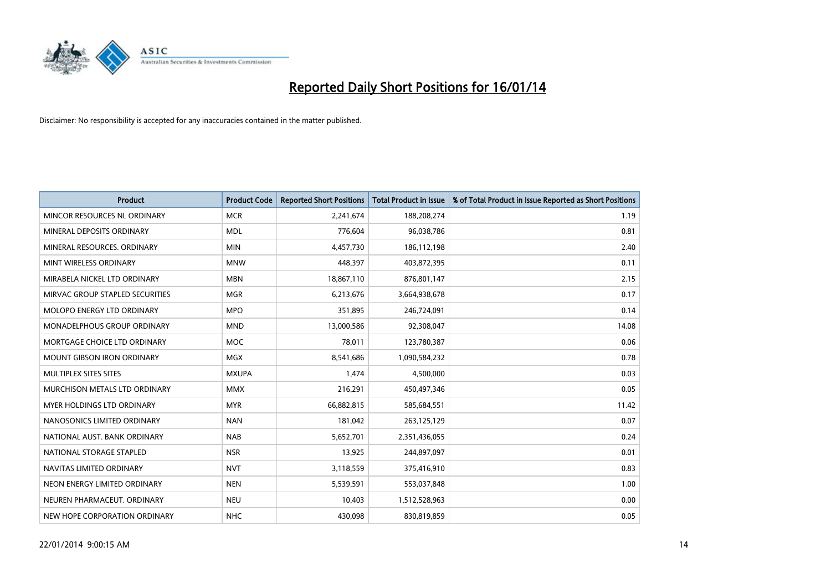

| <b>Product</b>                     | <b>Product Code</b> | <b>Reported Short Positions</b> | <b>Total Product in Issue</b> | % of Total Product in Issue Reported as Short Positions |
|------------------------------------|---------------------|---------------------------------|-------------------------------|---------------------------------------------------------|
| MINCOR RESOURCES NL ORDINARY       | <b>MCR</b>          | 2,241,674                       | 188,208,274                   | 1.19                                                    |
| MINERAL DEPOSITS ORDINARY          | <b>MDL</b>          | 776,604                         | 96,038,786                    | 0.81                                                    |
| MINERAL RESOURCES, ORDINARY        | <b>MIN</b>          | 4,457,730                       | 186,112,198                   | 2.40                                                    |
| MINT WIRELESS ORDINARY             | <b>MNW</b>          | 448,397                         | 403,872,395                   | 0.11                                                    |
| MIRABELA NICKEL LTD ORDINARY       | <b>MBN</b>          | 18,867,110                      | 876,801,147                   | 2.15                                                    |
| MIRVAC GROUP STAPLED SECURITIES    | <b>MGR</b>          | 6,213,676                       | 3,664,938,678                 | 0.17                                                    |
| MOLOPO ENERGY LTD ORDINARY         | <b>MPO</b>          | 351,895                         | 246,724,091                   | 0.14                                                    |
| <b>MONADELPHOUS GROUP ORDINARY</b> | <b>MND</b>          | 13,000,586                      | 92,308,047                    | 14.08                                                   |
| MORTGAGE CHOICE LTD ORDINARY       | <b>MOC</b>          | 78,011                          | 123,780,387                   | 0.06                                                    |
| <b>MOUNT GIBSON IRON ORDINARY</b>  | <b>MGX</b>          | 8,541,686                       | 1,090,584,232                 | 0.78                                                    |
| MULTIPLEX SITES SITES              | <b>MXUPA</b>        | 1,474                           | 4,500,000                     | 0.03                                                    |
| MURCHISON METALS LTD ORDINARY      | <b>MMX</b>          | 216,291                         | 450,497,346                   | 0.05                                                    |
| MYER HOLDINGS LTD ORDINARY         | <b>MYR</b>          | 66,882,815                      | 585,684,551                   | 11.42                                                   |
| NANOSONICS LIMITED ORDINARY        | <b>NAN</b>          | 181,042                         | 263,125,129                   | 0.07                                                    |
| NATIONAL AUST. BANK ORDINARY       | <b>NAB</b>          | 5,652,701                       | 2,351,436,055                 | 0.24                                                    |
| NATIONAL STORAGE STAPLED           | <b>NSR</b>          | 13,925                          | 244,897,097                   | 0.01                                                    |
| NAVITAS LIMITED ORDINARY           | <b>NVT</b>          | 3,118,559                       | 375,416,910                   | 0.83                                                    |
| NEON ENERGY LIMITED ORDINARY       | <b>NEN</b>          | 5,539,591                       | 553,037,848                   | 1.00                                                    |
| NEUREN PHARMACEUT, ORDINARY        | <b>NEU</b>          | 10,403                          | 1,512,528,963                 | 0.00                                                    |
| NEW HOPE CORPORATION ORDINARY      | <b>NHC</b>          | 430,098                         | 830,819,859                   | 0.05                                                    |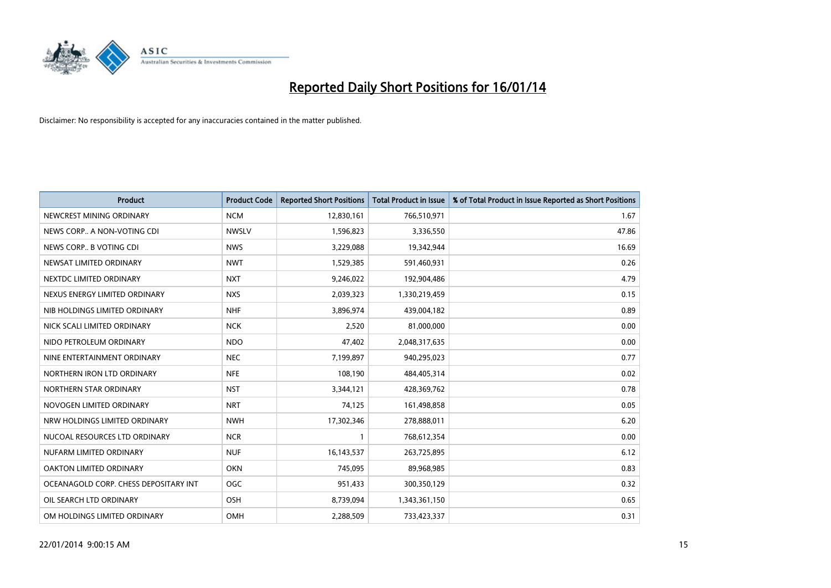

| <b>Product</b>                        | <b>Product Code</b> | <b>Reported Short Positions</b> | <b>Total Product in Issue</b> | % of Total Product in Issue Reported as Short Positions |
|---------------------------------------|---------------------|---------------------------------|-------------------------------|---------------------------------------------------------|
| NEWCREST MINING ORDINARY              | <b>NCM</b>          | 12,830,161                      | 766,510,971                   | 1.67                                                    |
| NEWS CORP A NON-VOTING CDI            | <b>NWSLV</b>        | 1,596,823                       | 3,336,550                     | 47.86                                                   |
| NEWS CORP B VOTING CDI                | <b>NWS</b>          | 3,229,088                       | 19,342,944                    | 16.69                                                   |
| NEWSAT LIMITED ORDINARY               | <b>NWT</b>          | 1,529,385                       | 591,460,931                   | 0.26                                                    |
| NEXTDC LIMITED ORDINARY               | <b>NXT</b>          | 9,246,022                       | 192,904,486                   | 4.79                                                    |
| NEXUS ENERGY LIMITED ORDINARY         | <b>NXS</b>          | 2,039,323                       | 1,330,219,459                 | 0.15                                                    |
| NIB HOLDINGS LIMITED ORDINARY         | <b>NHF</b>          | 3,896,974                       | 439,004,182                   | 0.89                                                    |
| NICK SCALI LIMITED ORDINARY           | <b>NCK</b>          | 2,520                           | 81,000,000                    | 0.00                                                    |
| NIDO PETROLEUM ORDINARY               | <b>NDO</b>          | 47,402                          | 2,048,317,635                 | 0.00                                                    |
| NINE ENTERTAINMENT ORDINARY           | <b>NEC</b>          | 7,199,897                       | 940,295,023                   | 0.77                                                    |
| NORTHERN IRON LTD ORDINARY            | <b>NFE</b>          | 108,190                         | 484,405,314                   | 0.02                                                    |
| NORTHERN STAR ORDINARY                | <b>NST</b>          | 3,344,121                       | 428,369,762                   | 0.78                                                    |
| NOVOGEN LIMITED ORDINARY              | <b>NRT</b>          | 74,125                          | 161,498,858                   | 0.05                                                    |
| NRW HOLDINGS LIMITED ORDINARY         | <b>NWH</b>          | 17,302,346                      | 278,888,011                   | 6.20                                                    |
| NUCOAL RESOURCES LTD ORDINARY         | <b>NCR</b>          | $\mathbf{1}$                    | 768,612,354                   | 0.00                                                    |
| NUFARM LIMITED ORDINARY               | <b>NUF</b>          | 16,143,537                      | 263,725,895                   | 6.12                                                    |
| OAKTON LIMITED ORDINARY               | <b>OKN</b>          | 745,095                         | 89,968,985                    | 0.83                                                    |
| OCEANAGOLD CORP. CHESS DEPOSITARY INT | <b>OGC</b>          | 951,433                         | 300,350,129                   | 0.32                                                    |
| OIL SEARCH LTD ORDINARY               | OSH                 | 8,739,094                       | 1,343,361,150                 | 0.65                                                    |
| OM HOLDINGS LIMITED ORDINARY          | OMH                 | 2,288,509                       | 733,423,337                   | 0.31                                                    |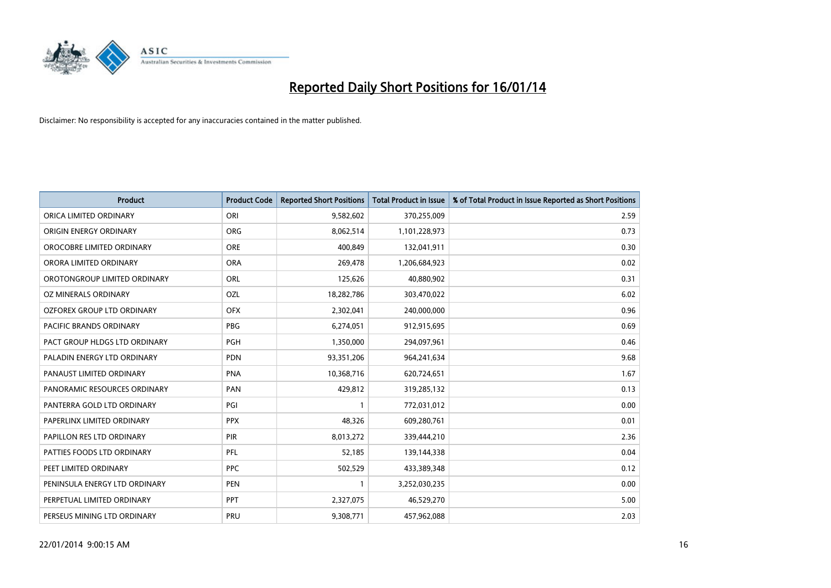

| <b>Product</b>                | <b>Product Code</b> | <b>Reported Short Positions</b> | <b>Total Product in Issue</b> | % of Total Product in Issue Reported as Short Positions |
|-------------------------------|---------------------|---------------------------------|-------------------------------|---------------------------------------------------------|
| ORICA LIMITED ORDINARY        | ORI                 | 9,582,602                       | 370,255,009                   | 2.59                                                    |
| ORIGIN ENERGY ORDINARY        | <b>ORG</b>          | 8,062,514                       | 1,101,228,973                 | 0.73                                                    |
| OROCOBRE LIMITED ORDINARY     | <b>ORE</b>          | 400,849                         | 132,041,911                   | 0.30                                                    |
| ORORA LIMITED ORDINARY        | <b>ORA</b>          | 269,478                         | 1,206,684,923                 | 0.02                                                    |
| OROTONGROUP LIMITED ORDINARY  | ORL                 | 125,626                         | 40,880,902                    | 0.31                                                    |
| OZ MINERALS ORDINARY          | OZL                 | 18,282,786                      | 303,470,022                   | 6.02                                                    |
| OZFOREX GROUP LTD ORDINARY    | <b>OFX</b>          | 2,302,041                       | 240,000,000                   | 0.96                                                    |
| PACIFIC BRANDS ORDINARY       | PBG                 | 6,274,051                       | 912,915,695                   | 0.69                                                    |
| PACT GROUP HLDGS LTD ORDINARY | <b>PGH</b>          | 1,350,000                       | 294,097,961                   | 0.46                                                    |
| PALADIN ENERGY LTD ORDINARY   | <b>PDN</b>          | 93,351,206                      | 964,241,634                   | 9.68                                                    |
| PANAUST LIMITED ORDINARY      | <b>PNA</b>          | 10,368,716                      | 620,724,651                   | 1.67                                                    |
| PANORAMIC RESOURCES ORDINARY  | PAN                 | 429,812                         | 319,285,132                   | 0.13                                                    |
| PANTERRA GOLD LTD ORDINARY    | PGI                 | $\mathbf{1}$                    | 772,031,012                   | 0.00                                                    |
| PAPERLINX LIMITED ORDINARY    | <b>PPX</b>          | 48,326                          | 609,280,761                   | 0.01                                                    |
| PAPILLON RES LTD ORDINARY     | <b>PIR</b>          | 8,013,272                       | 339,444,210                   | 2.36                                                    |
| PATTIES FOODS LTD ORDINARY    | PFL                 | 52,185                          | 139,144,338                   | 0.04                                                    |
| PEET LIMITED ORDINARY         | <b>PPC</b>          | 502,529                         | 433,389,348                   | 0.12                                                    |
| PENINSULA ENERGY LTD ORDINARY | <b>PEN</b>          | $\mathbf{1}$                    | 3,252,030,235                 | 0.00                                                    |
| PERPETUAL LIMITED ORDINARY    | PPT                 | 2,327,075                       | 46,529,270                    | 5.00                                                    |
| PERSEUS MINING LTD ORDINARY   | PRU                 | 9,308,771                       | 457,962,088                   | 2.03                                                    |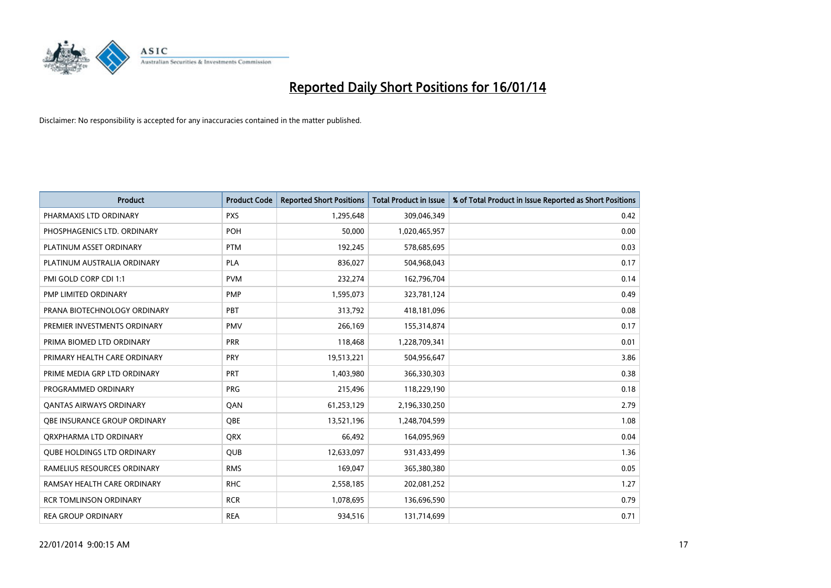

| <b>Product</b>                    | <b>Product Code</b> | <b>Reported Short Positions</b> | <b>Total Product in Issue</b> | % of Total Product in Issue Reported as Short Positions |
|-----------------------------------|---------------------|---------------------------------|-------------------------------|---------------------------------------------------------|
| PHARMAXIS LTD ORDINARY            | <b>PXS</b>          | 1,295,648                       | 309,046,349                   | 0.42                                                    |
| PHOSPHAGENICS LTD. ORDINARY       | POH                 | 50,000                          | 1,020,465,957                 | 0.00                                                    |
| PLATINUM ASSET ORDINARY           | <b>PTM</b>          | 192,245                         | 578,685,695                   | 0.03                                                    |
| PLATINUM AUSTRALIA ORDINARY       | <b>PLA</b>          | 836,027                         | 504,968,043                   | 0.17                                                    |
| PMI GOLD CORP CDI 1:1             | <b>PVM</b>          | 232,274                         | 162,796,704                   | 0.14                                                    |
| <b>PMP LIMITED ORDINARY</b>       | PMP                 | 1,595,073                       | 323,781,124                   | 0.49                                                    |
| PRANA BIOTECHNOLOGY ORDINARY      | <b>PBT</b>          | 313,792                         | 418,181,096                   | 0.08                                                    |
| PREMIER INVESTMENTS ORDINARY      | <b>PMV</b>          | 266,169                         | 155,314,874                   | 0.17                                                    |
| PRIMA BIOMED LTD ORDINARY         | <b>PRR</b>          | 118,468                         | 1,228,709,341                 | 0.01                                                    |
| PRIMARY HEALTH CARE ORDINARY      | <b>PRY</b>          | 19,513,221                      | 504,956,647                   | 3.86                                                    |
| PRIME MEDIA GRP LTD ORDINARY      | <b>PRT</b>          | 1,403,980                       | 366,330,303                   | 0.38                                                    |
| PROGRAMMED ORDINARY               | <b>PRG</b>          | 215,496                         | 118,229,190                   | 0.18                                                    |
| <b>QANTAS AIRWAYS ORDINARY</b>    | QAN                 | 61,253,129                      | 2,196,330,250                 | 2.79                                                    |
| OBE INSURANCE GROUP ORDINARY      | <b>OBE</b>          | 13,521,196                      | 1,248,704,599                 | 1.08                                                    |
| ORXPHARMA LTD ORDINARY            | <b>ORX</b>          | 66,492                          | 164,095,969                   | 0.04                                                    |
| <b>QUBE HOLDINGS LTD ORDINARY</b> | <b>QUB</b>          | 12,633,097                      | 931,433,499                   | 1.36                                                    |
| RAMELIUS RESOURCES ORDINARY       | <b>RMS</b>          | 169,047                         | 365,380,380                   | 0.05                                                    |
| RAMSAY HEALTH CARE ORDINARY       | <b>RHC</b>          | 2,558,185                       | 202,081,252                   | 1.27                                                    |
| <b>RCR TOMLINSON ORDINARY</b>     | <b>RCR</b>          | 1,078,695                       | 136,696,590                   | 0.79                                                    |
| <b>REA GROUP ORDINARY</b>         | <b>REA</b>          | 934,516                         | 131,714,699                   | 0.71                                                    |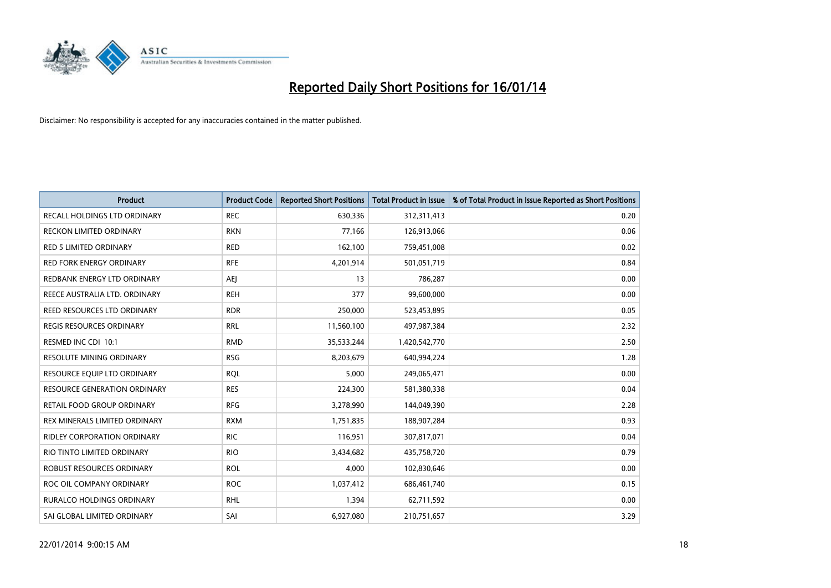

| <b>Product</b>                      | <b>Product Code</b> | <b>Reported Short Positions</b> | <b>Total Product in Issue</b> | % of Total Product in Issue Reported as Short Positions |
|-------------------------------------|---------------------|---------------------------------|-------------------------------|---------------------------------------------------------|
| RECALL HOLDINGS LTD ORDINARY        | <b>REC</b>          | 630,336                         | 312,311,413                   | 0.20                                                    |
| RECKON LIMITED ORDINARY             | <b>RKN</b>          | 77,166                          | 126,913,066                   | 0.06                                                    |
| <b>RED 5 LIMITED ORDINARY</b>       | <b>RED</b>          | 162,100                         | 759,451,008                   | 0.02                                                    |
| <b>RED FORK ENERGY ORDINARY</b>     | <b>RFE</b>          | 4,201,914                       | 501,051,719                   | 0.84                                                    |
| REDBANK ENERGY LTD ORDINARY         | <b>AEI</b>          | 13                              | 786,287                       | 0.00                                                    |
| REECE AUSTRALIA LTD. ORDINARY       | <b>REH</b>          | 377                             | 99,600,000                    | 0.00                                                    |
| REED RESOURCES LTD ORDINARY         | <b>RDR</b>          | 250,000                         | 523,453,895                   | 0.05                                                    |
| REGIS RESOURCES ORDINARY            | <b>RRL</b>          | 11,560,100                      | 497,987,384                   | 2.32                                                    |
| RESMED INC CDI 10:1                 | <b>RMD</b>          | 35,533,244                      | 1,420,542,770                 | 2.50                                                    |
| <b>RESOLUTE MINING ORDINARY</b>     | <b>RSG</b>          | 8,203,679                       | 640,994,224                   | 1.28                                                    |
| RESOURCE EQUIP LTD ORDINARY         | <b>RQL</b>          | 5,000                           | 249,065,471                   | 0.00                                                    |
| <b>RESOURCE GENERATION ORDINARY</b> | <b>RES</b>          | 224,300                         | 581,380,338                   | 0.04                                                    |
| RETAIL FOOD GROUP ORDINARY          | <b>RFG</b>          | 3,278,990                       | 144,049,390                   | 2.28                                                    |
| REX MINERALS LIMITED ORDINARY       | <b>RXM</b>          | 1,751,835                       | 188,907,284                   | 0.93                                                    |
| <b>RIDLEY CORPORATION ORDINARY</b>  | <b>RIC</b>          | 116,951                         | 307,817,071                   | 0.04                                                    |
| RIO TINTO LIMITED ORDINARY          | <b>RIO</b>          | 3,434,682                       | 435,758,720                   | 0.79                                                    |
| ROBUST RESOURCES ORDINARY           | <b>ROL</b>          | 4,000                           | 102,830,646                   | 0.00                                                    |
| ROC OIL COMPANY ORDINARY            | <b>ROC</b>          | 1,037,412                       | 686,461,740                   | 0.15                                                    |
| <b>RURALCO HOLDINGS ORDINARY</b>    | <b>RHL</b>          | 1,394                           | 62,711,592                    | 0.00                                                    |
| SAI GLOBAL LIMITED ORDINARY         | SAI                 | 6,927,080                       | 210,751,657                   | 3.29                                                    |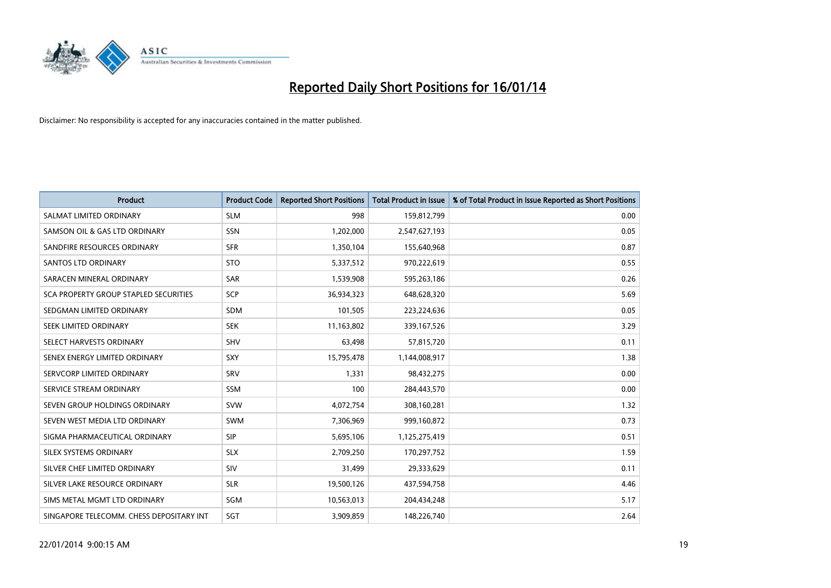

| <b>Product</b>                           | <b>Product Code</b> | <b>Reported Short Positions</b> | <b>Total Product in Issue</b> | % of Total Product in Issue Reported as Short Positions |
|------------------------------------------|---------------------|---------------------------------|-------------------------------|---------------------------------------------------------|
| SALMAT LIMITED ORDINARY                  | <b>SLM</b>          | 998                             | 159,812,799                   | 0.00                                                    |
| SAMSON OIL & GAS LTD ORDINARY            | SSN                 | 1,202,000                       | 2,547,627,193                 | 0.05                                                    |
| SANDFIRE RESOURCES ORDINARY              | <b>SFR</b>          | 1,350,104                       | 155,640,968                   | 0.87                                                    |
| SANTOS LTD ORDINARY                      | <b>STO</b>          | 5,337,512                       | 970,222,619                   | 0.55                                                    |
| SARACEN MINERAL ORDINARY                 | <b>SAR</b>          | 1,539,908                       | 595,263,186                   | 0.26                                                    |
| SCA PROPERTY GROUP STAPLED SECURITIES    | <b>SCP</b>          | 36,934,323                      | 648,628,320                   | 5.69                                                    |
| SEDGMAN LIMITED ORDINARY                 | <b>SDM</b>          | 101,505                         | 223,224,636                   | 0.05                                                    |
| SEEK LIMITED ORDINARY                    | <b>SEK</b>          | 11,163,802                      | 339,167,526                   | 3.29                                                    |
| SELECT HARVESTS ORDINARY                 | <b>SHV</b>          | 63,498                          | 57,815,720                    | 0.11                                                    |
| SENEX ENERGY LIMITED ORDINARY            | <b>SXY</b>          | 15,795,478                      | 1,144,008,917                 | 1.38                                                    |
| SERVCORP LIMITED ORDINARY                | SRV                 | 1,331                           | 98,432,275                    | 0.00                                                    |
| SERVICE STREAM ORDINARY                  | SSM                 | 100                             | 284,443,570                   | 0.00                                                    |
| SEVEN GROUP HOLDINGS ORDINARY            | <b>SVW</b>          | 4,072,754                       | 308,160,281                   | 1.32                                                    |
| SEVEN WEST MEDIA LTD ORDINARY            | <b>SWM</b>          | 7,306,969                       | 999,160,872                   | 0.73                                                    |
| SIGMA PHARMACEUTICAL ORDINARY            | <b>SIP</b>          | 5,695,106                       | 1,125,275,419                 | 0.51                                                    |
| SILEX SYSTEMS ORDINARY                   | <b>SLX</b>          | 2,709,250                       | 170,297,752                   | 1.59                                                    |
| SILVER CHEF LIMITED ORDINARY             | SIV                 | 31,499                          | 29,333,629                    | 0.11                                                    |
| SILVER LAKE RESOURCE ORDINARY            | <b>SLR</b>          | 19,500,126                      | 437,594,758                   | 4.46                                                    |
| SIMS METAL MGMT LTD ORDINARY             | SGM                 | 10,563,013                      | 204,434,248                   | 5.17                                                    |
| SINGAPORE TELECOMM. CHESS DEPOSITARY INT | SGT                 | 3,909,859                       | 148,226,740                   | 2.64                                                    |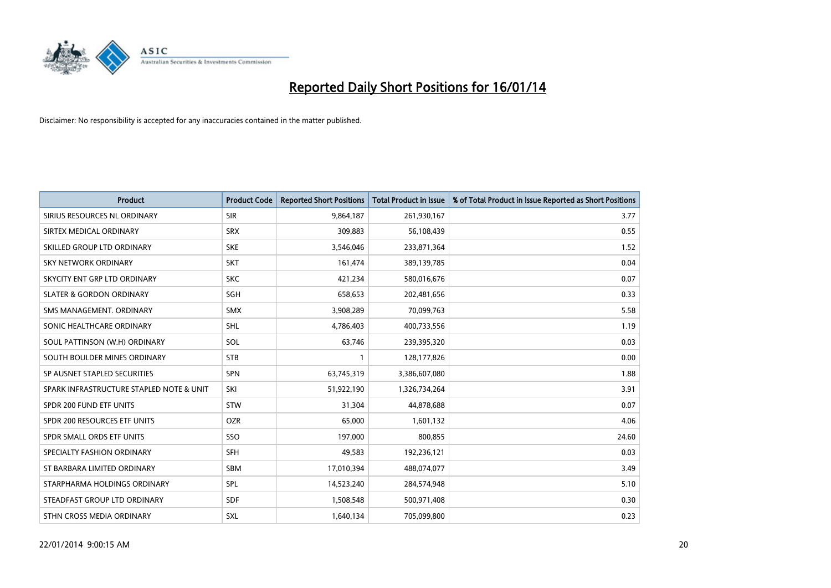

| <b>Product</b>                           | <b>Product Code</b> | <b>Reported Short Positions</b> | <b>Total Product in Issue</b> | % of Total Product in Issue Reported as Short Positions |
|------------------------------------------|---------------------|---------------------------------|-------------------------------|---------------------------------------------------------|
| SIRIUS RESOURCES NL ORDINARY             | <b>SIR</b>          | 9,864,187                       | 261,930,167                   | 3.77                                                    |
| SIRTEX MEDICAL ORDINARY                  | <b>SRX</b>          | 309,883                         | 56,108,439                    | 0.55                                                    |
| SKILLED GROUP LTD ORDINARY               | <b>SKE</b>          | 3,546,046                       | 233,871,364                   | 1.52                                                    |
| <b>SKY NETWORK ORDINARY</b>              | <b>SKT</b>          | 161,474                         | 389,139,785                   | 0.04                                                    |
| SKYCITY ENT GRP LTD ORDINARY             | <b>SKC</b>          | 421,234                         | 580,016,676                   | 0.07                                                    |
| <b>SLATER &amp; GORDON ORDINARY</b>      | <b>SGH</b>          | 658,653                         | 202,481,656                   | 0.33                                                    |
| SMS MANAGEMENT, ORDINARY                 | <b>SMX</b>          | 3,908,289                       | 70,099,763                    | 5.58                                                    |
| SONIC HEALTHCARE ORDINARY                | <b>SHL</b>          | 4,786,403                       | 400,733,556                   | 1.19                                                    |
| SOUL PATTINSON (W.H) ORDINARY            | SOL                 | 63,746                          | 239,395,320                   | 0.03                                                    |
| SOUTH BOULDER MINES ORDINARY             | <b>STB</b>          | 1                               | 128,177,826                   | 0.00                                                    |
| SP AUSNET STAPLED SECURITIES             | SPN                 | 63,745,319                      | 3,386,607,080                 | 1.88                                                    |
| SPARK INFRASTRUCTURE STAPLED NOTE & UNIT | SKI                 | 51,922,190                      | 1,326,734,264                 | 3.91                                                    |
| SPDR 200 FUND ETF UNITS                  | <b>STW</b>          | 31,304                          | 44,878,688                    | 0.07                                                    |
| SPDR 200 RESOURCES ETF UNITS             | <b>OZR</b>          | 65,000                          | 1,601,132                     | 4.06                                                    |
| SPDR SMALL ORDS ETF UNITS                | SSO                 | 197,000                         | 800,855                       | 24.60                                                   |
| SPECIALTY FASHION ORDINARY               | SFH                 | 49,583                          | 192,236,121                   | 0.03                                                    |
| ST BARBARA LIMITED ORDINARY              | SBM                 | 17,010,394                      | 488,074,077                   | 3.49                                                    |
| STARPHARMA HOLDINGS ORDINARY             | <b>SPL</b>          | 14,523,240                      | 284,574,948                   | 5.10                                                    |
| STEADFAST GROUP LTD ORDINARY             | <b>SDF</b>          | 1,508,548                       | 500,971,408                   | 0.30                                                    |
| STHN CROSS MEDIA ORDINARY                | SXL                 | 1,640,134                       | 705,099,800                   | 0.23                                                    |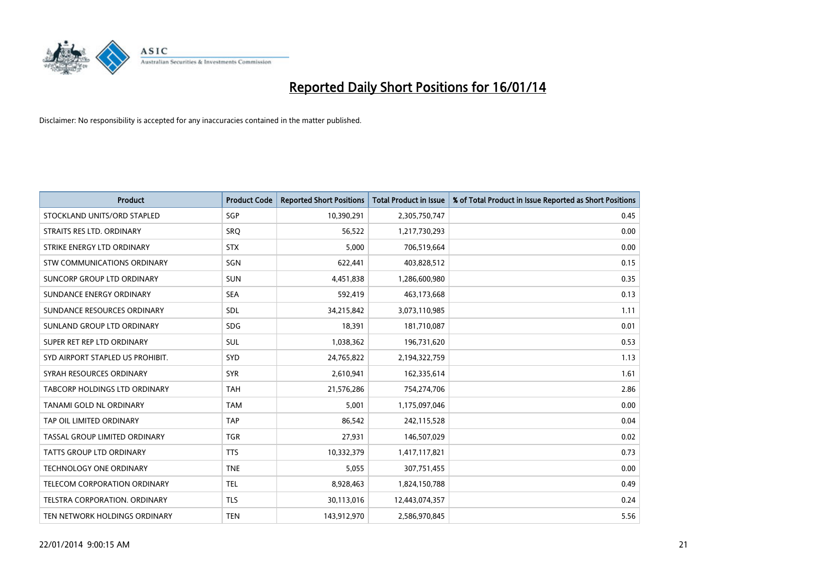

| <b>Product</b>                   | <b>Product Code</b> | <b>Reported Short Positions</b> | <b>Total Product in Issue</b> | % of Total Product in Issue Reported as Short Positions |
|----------------------------------|---------------------|---------------------------------|-------------------------------|---------------------------------------------------------|
| STOCKLAND UNITS/ORD STAPLED      | SGP                 | 10,390,291                      | 2,305,750,747                 | 0.45                                                    |
| STRAITS RES LTD. ORDINARY        | <b>SRQ</b>          | 56,522                          | 1,217,730,293                 | 0.00                                                    |
| STRIKE ENERGY LTD ORDINARY       | <b>STX</b>          | 5,000                           | 706,519,664                   | 0.00                                                    |
| STW COMMUNICATIONS ORDINARY      | SGN                 | 622,441                         | 403,828,512                   | 0.15                                                    |
| SUNCORP GROUP LTD ORDINARY       | <b>SUN</b>          | 4,451,838                       | 1,286,600,980                 | 0.35                                                    |
| SUNDANCE ENERGY ORDINARY         | <b>SEA</b>          | 592,419                         | 463,173,668                   | 0.13                                                    |
| SUNDANCE RESOURCES ORDINARY      | SDL                 | 34,215,842                      | 3,073,110,985                 | 1.11                                                    |
| SUNLAND GROUP LTD ORDINARY       | <b>SDG</b>          | 18,391                          | 181,710,087                   | 0.01                                                    |
| SUPER RET REP LTD ORDINARY       | <b>SUL</b>          | 1,038,362                       | 196,731,620                   | 0.53                                                    |
| SYD AIRPORT STAPLED US PROHIBIT. | SYD                 | 24,765,822                      | 2,194,322,759                 | 1.13                                                    |
| SYRAH RESOURCES ORDINARY         | <b>SYR</b>          | 2,610,941                       | 162,335,614                   | 1.61                                                    |
| TABCORP HOLDINGS LTD ORDINARY    | <b>TAH</b>          | 21,576,286                      | 754,274,706                   | 2.86                                                    |
| TANAMI GOLD NL ORDINARY          | <b>TAM</b>          | 5,001                           | 1,175,097,046                 | 0.00                                                    |
| TAP OIL LIMITED ORDINARY         | <b>TAP</b>          | 86,542                          | 242,115,528                   | 0.04                                                    |
| TASSAL GROUP LIMITED ORDINARY    | <b>TGR</b>          | 27,931                          | 146,507,029                   | 0.02                                                    |
| TATTS GROUP LTD ORDINARY         | <b>TTS</b>          | 10,332,379                      | 1,417,117,821                 | 0.73                                                    |
| TECHNOLOGY ONE ORDINARY          | <b>TNE</b>          | 5,055                           | 307,751,455                   | 0.00                                                    |
| TELECOM CORPORATION ORDINARY     | <b>TEL</b>          | 8,928,463                       | 1,824,150,788                 | 0.49                                                    |
| TELSTRA CORPORATION, ORDINARY    | <b>TLS</b>          | 30,113,016                      | 12,443,074,357                | 0.24                                                    |
| TEN NETWORK HOLDINGS ORDINARY    | <b>TEN</b>          | 143,912,970                     | 2,586,970,845                 | 5.56                                                    |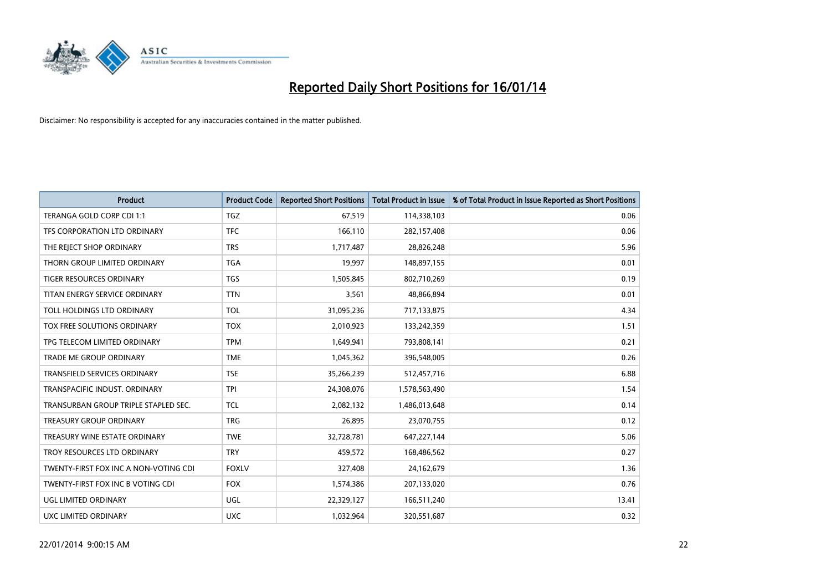

| <b>Product</b>                        | <b>Product Code</b> | <b>Reported Short Positions</b> | <b>Total Product in Issue</b> | % of Total Product in Issue Reported as Short Positions |
|---------------------------------------|---------------------|---------------------------------|-------------------------------|---------------------------------------------------------|
| TERANGA GOLD CORP CDI 1:1             | <b>TGZ</b>          | 67,519                          | 114,338,103                   | 0.06                                                    |
| TFS CORPORATION LTD ORDINARY          | <b>TFC</b>          | 166,110                         | 282,157,408                   | 0.06                                                    |
| THE REJECT SHOP ORDINARY              | <b>TRS</b>          | 1,717,487                       | 28,826,248                    | 5.96                                                    |
| THORN GROUP LIMITED ORDINARY          | <b>TGA</b>          | 19,997                          | 148,897,155                   | 0.01                                                    |
| <b>TIGER RESOURCES ORDINARY</b>       | <b>TGS</b>          | 1,505,845                       | 802,710,269                   | 0.19                                                    |
| TITAN ENERGY SERVICE ORDINARY         | <b>TTN</b>          | 3,561                           | 48,866,894                    | 0.01                                                    |
| TOLL HOLDINGS LTD ORDINARY            | <b>TOL</b>          | 31,095,236                      | 717,133,875                   | 4.34                                                    |
| TOX FREE SOLUTIONS ORDINARY           | <b>TOX</b>          | 2,010,923                       | 133,242,359                   | 1.51                                                    |
| TPG TELECOM LIMITED ORDINARY          | <b>TPM</b>          | 1,649,941                       | 793,808,141                   | 0.21                                                    |
| <b>TRADE ME GROUP ORDINARY</b>        | <b>TME</b>          | 1,045,362                       | 396,548,005                   | 0.26                                                    |
| TRANSFIELD SERVICES ORDINARY          | <b>TSE</b>          | 35,266,239                      | 512,457,716                   | 6.88                                                    |
| TRANSPACIFIC INDUST, ORDINARY         | <b>TPI</b>          | 24,308,076                      | 1,578,563,490                 | 1.54                                                    |
| TRANSURBAN GROUP TRIPLE STAPLED SEC.  | <b>TCL</b>          | 2,082,132                       | 1,486,013,648                 | 0.14                                                    |
| <b>TREASURY GROUP ORDINARY</b>        | <b>TRG</b>          | 26,895                          | 23,070,755                    | 0.12                                                    |
| TREASURY WINE ESTATE ORDINARY         | <b>TWE</b>          | 32,728,781                      | 647,227,144                   | 5.06                                                    |
| TROY RESOURCES LTD ORDINARY           | <b>TRY</b>          | 459,572                         | 168,486,562                   | 0.27                                                    |
| TWENTY-FIRST FOX INC A NON-VOTING CDI | <b>FOXLV</b>        | 327,408                         | 24,162,679                    | 1.36                                                    |
| TWENTY-FIRST FOX INC B VOTING CDI     | <b>FOX</b>          | 1,574,386                       | 207,133,020                   | 0.76                                                    |
| UGL LIMITED ORDINARY                  | <b>UGL</b>          | 22,329,127                      | 166,511,240                   | 13.41                                                   |
| UXC LIMITED ORDINARY                  | <b>UXC</b>          | 1,032,964                       | 320,551,687                   | 0.32                                                    |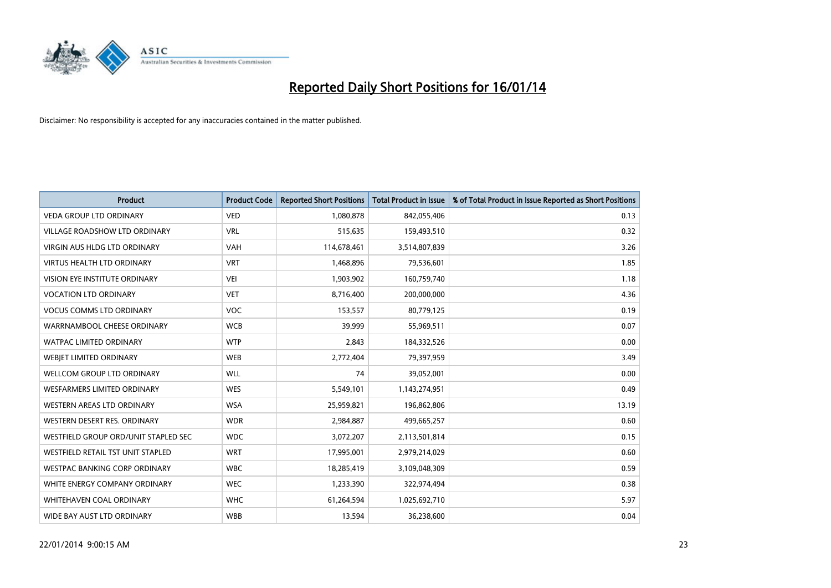

| <b>Product</b>                       | <b>Product Code</b> | <b>Reported Short Positions</b> | <b>Total Product in Issue</b> | % of Total Product in Issue Reported as Short Positions |
|--------------------------------------|---------------------|---------------------------------|-------------------------------|---------------------------------------------------------|
| <b>VEDA GROUP LTD ORDINARY</b>       | <b>VED</b>          | 1,080,878                       | 842,055,406                   | 0.13                                                    |
| <b>VILLAGE ROADSHOW LTD ORDINARY</b> | <b>VRL</b>          | 515,635                         | 159,493,510                   | 0.32                                                    |
| <b>VIRGIN AUS HLDG LTD ORDINARY</b>  | <b>VAH</b>          | 114,678,461                     | 3,514,807,839                 | 3.26                                                    |
| VIRTUS HEALTH LTD ORDINARY           | <b>VRT</b>          | 1,468,896                       | 79,536,601                    | 1.85                                                    |
| VISION EYE INSTITUTE ORDINARY        | <b>VEI</b>          | 1,903,902                       | 160,759,740                   | 1.18                                                    |
| <b>VOCATION LTD ORDINARY</b>         | <b>VET</b>          | 8,716,400                       | 200,000,000                   | 4.36                                                    |
| <b>VOCUS COMMS LTD ORDINARY</b>      | VOC                 | 153,557                         | 80,779,125                    | 0.19                                                    |
| WARRNAMBOOL CHEESE ORDINARY          | <b>WCB</b>          | 39,999                          | 55,969,511                    | 0.07                                                    |
| <b>WATPAC LIMITED ORDINARY</b>       | <b>WTP</b>          | 2,843                           | 184,332,526                   | 0.00                                                    |
| WEBIET LIMITED ORDINARY              | <b>WEB</b>          | 2,772,404                       | 79,397,959                    | 3.49                                                    |
| <b>WELLCOM GROUP LTD ORDINARY</b>    | WLL                 | 74                              | 39,052,001                    | 0.00                                                    |
| <b>WESFARMERS LIMITED ORDINARY</b>   | <b>WES</b>          | 5,549,101                       | 1,143,274,951                 | 0.49                                                    |
| WESTERN AREAS LTD ORDINARY           | <b>WSA</b>          | 25,959,821                      | 196,862,806                   | 13.19                                                   |
| WESTERN DESERT RES. ORDINARY         | <b>WDR</b>          | 2,984,887                       | 499,665,257                   | 0.60                                                    |
| WESTFIELD GROUP ORD/UNIT STAPLED SEC | <b>WDC</b>          | 3,072,207                       | 2,113,501,814                 | 0.15                                                    |
| WESTFIELD RETAIL TST UNIT STAPLED    | <b>WRT</b>          | 17,995,001                      | 2,979,214,029                 | 0.60                                                    |
| <b>WESTPAC BANKING CORP ORDINARY</b> | <b>WBC</b>          | 18,285,419                      | 3,109,048,309                 | 0.59                                                    |
| WHITE ENERGY COMPANY ORDINARY        | <b>WEC</b>          | 1,233,390                       | 322,974,494                   | 0.38                                                    |
| WHITEHAVEN COAL ORDINARY             | <b>WHC</b>          | 61,264,594                      | 1,025,692,710                 | 5.97                                                    |
| WIDE BAY AUST LTD ORDINARY           | <b>WBB</b>          | 13,594                          | 36,238,600                    | 0.04                                                    |